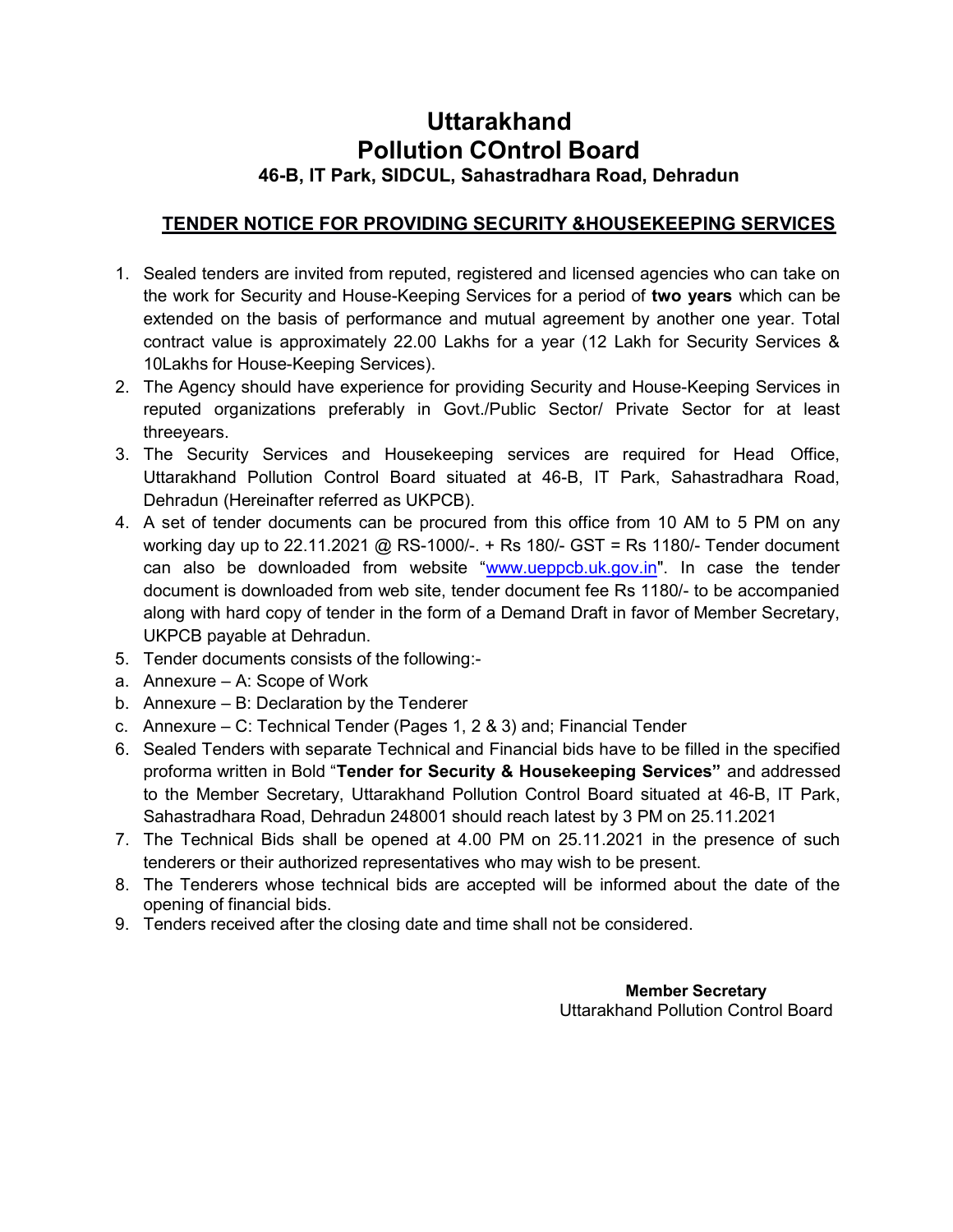# Uttarakhand Pollution COntrol Board 46-B, IT Park, SIDCUL, Sahastradhara Road, Dehradun

## TENDER NOTICE FOR PROVIDING SECURITY &HOUSEKEEPING SERVICES

- 1. Sealed tenders are invited from reputed, registered and licensed agencies who can take on the work for Security and House-Keeping Services for a period of two years which can be extended on the basis of performance and mutual agreement by another one year. Total contract value is approximately 22.00 Lakhs for a year (12 Lakh for Security Services & 10Lakhs for House-Keeping Services).
- 2. The Agency should have experience for providing Security and House-Keeping Services in reputed organizations preferably in Govt./Public Sector/ Private Sector for at least threeyears.
- 3. The Security Services and Housekeeping services are required for Head Office, Uttarakhand Pollution Control Board situated at 46-B, IT Park, Sahastradhara Road, Dehradun (Hereinafter referred as UKPCB).
- 4. A set of tender documents can be procured from this office from 10 AM to 5 PM on any working day up to 22.11.2021 @ RS-1000/-. + Rs 180/- GST = Rs 1180/- Tender document can also be downloaded from website "www.ueppcb.uk.gov.in". In case the tender document is downloaded from web site, tender document fee Rs 1180/- to be accompanied along with hard copy of tender in the form of a Demand Draft in favor of Member Secretary, UKPCB payable at Dehradun.
- 5. Tender documents consists of the following:-
- a. Annexure A: Scope of Work
- b. Annexure B: Declaration by the Tenderer
- c. Annexure C: Technical Tender (Pages 1, 2 & 3) and; Financial Tender
- 6. Sealed Tenders with separate Technical and Financial bids have to be filled in the specified proforma written in Bold "Tender for Security & Housekeeping Services" and addressed to the Member Secretary, Uttarakhand Pollution Control Board situated at 46-B, IT Park, Sahastradhara Road, Dehradun 248001 should reach latest by 3 PM on 25.11.2021
- 7. The Technical Bids shall be opened at 4.00 PM on 25.11.2021 in the presence of such tenderers or their authorized representatives who may wish to be present.
- 8. The Tenderers whose technical bids are accepted will be informed about the date of the opening of financial bids.
- 9. Tenders received after the closing date and time shall not be considered.

Member Secretary Uttarakhand Pollution Control Board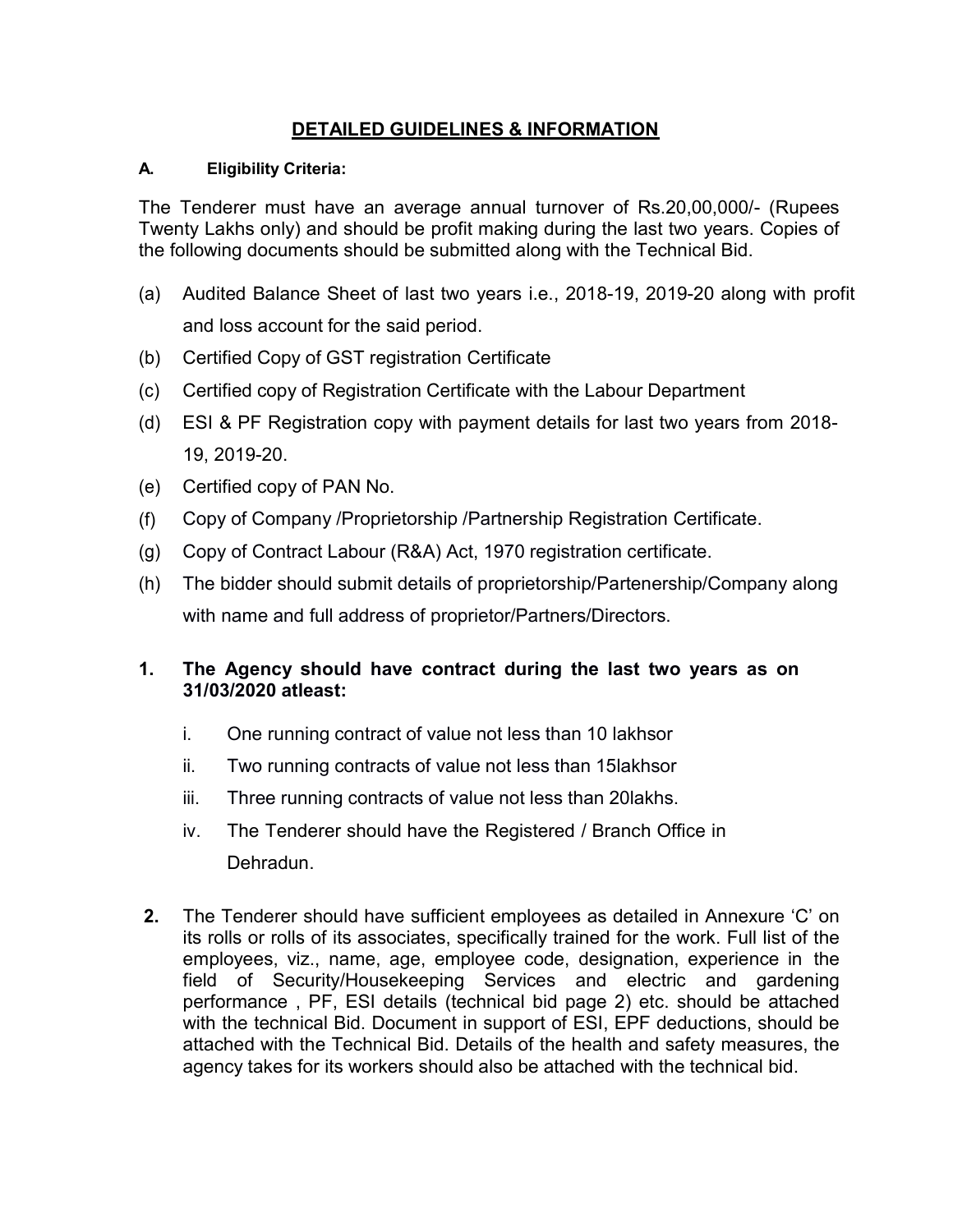## DETAILED GUIDELINES & INFORMATION

#### A. Eligibility Criteria:

The Tenderer must have an average annual turnover of Rs.20,00,000/- (Rupees Twenty Lakhs only) and should be profit making during the last two years. Copies of the following documents should be submitted along with the Technical Bid.

- (a) Audited Balance Sheet of last two years i.e., 2018-19, 2019-20 along with profit and loss account for the said period.
- (b) Certified Copy of GST registration Certificate
- (c) Certified copy of Registration Certificate with the Labour Department
- (d) ESI & PF Registration copy with payment details for last two years from 2018- 19, 2019-20.
- (e) Certified copy of PAN No.
- (f) Copy of Company /Proprietorship /Partnership Registration Certificate.
- (g) Copy of Contract Labour (R&A) Act, 1970 registration certificate.
- (h) The bidder should submit details of proprietorship/Partenership/Company along with name and full address of proprietor/Partners/Directors.

## 1. The Agency should have contract during the last two years as on 31/03/2020 atleast:

- i. One running contract of value not less than 10 lakhsor
- ii. Two running contracts of value not less than 15lakhsor
- iii. Three running contracts of value not less than 20lakhs.
- iv. The Tenderer should have the Registered / Branch Office in Dehradun.
- 2. The Tenderer should have sufficient employees as detailed in Annexure 'C' on its rolls or rolls of its associates, specifically trained for the work. Full list of the employees, viz., name, age, employee code, designation, experience in the field of Security/Housekeeping Services and electric and gardening performance , PF, ESI details (technical bid page 2) etc. should be attached with the technical Bid. Document in support of ESI, EPF deductions, should be attached with the Technical Bid. Details of the health and safety measures, the agency takes for its workers should also be attached with the technical bid.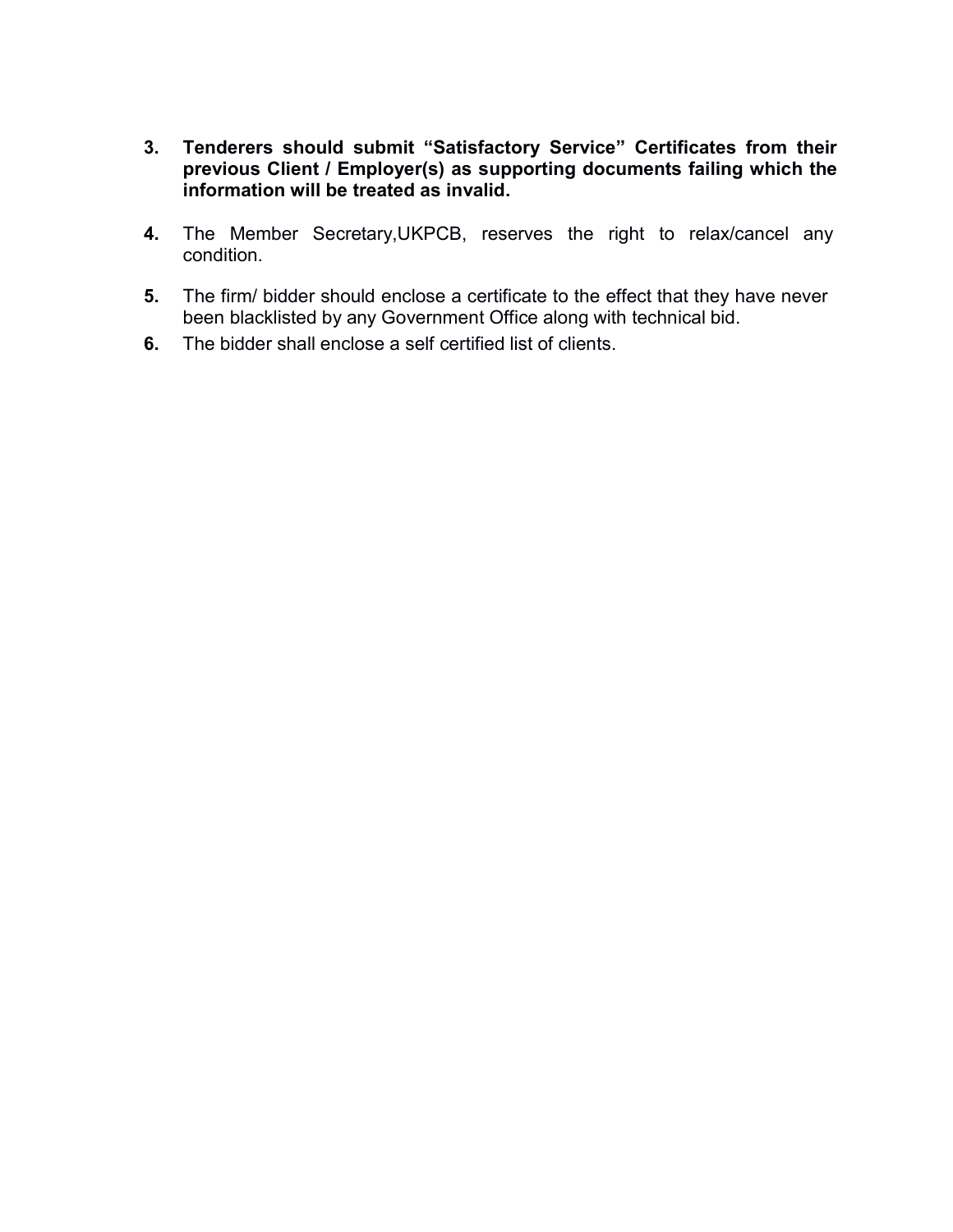- 3. Tenderers should submit "Satisfactory Service" Certificates from their previous Client / Employer(s) as supporting documents failing which the information will be treated as invalid.
- 4. The Member Secretary,UKPCB, reserves the right to relax/cancel any condition.
- 5. The firm/ bidder should enclose a certificate to the effect that they have never been blacklisted by any Government Office along with technical bid.
- 6. The bidder shall enclose a self certified list of clients.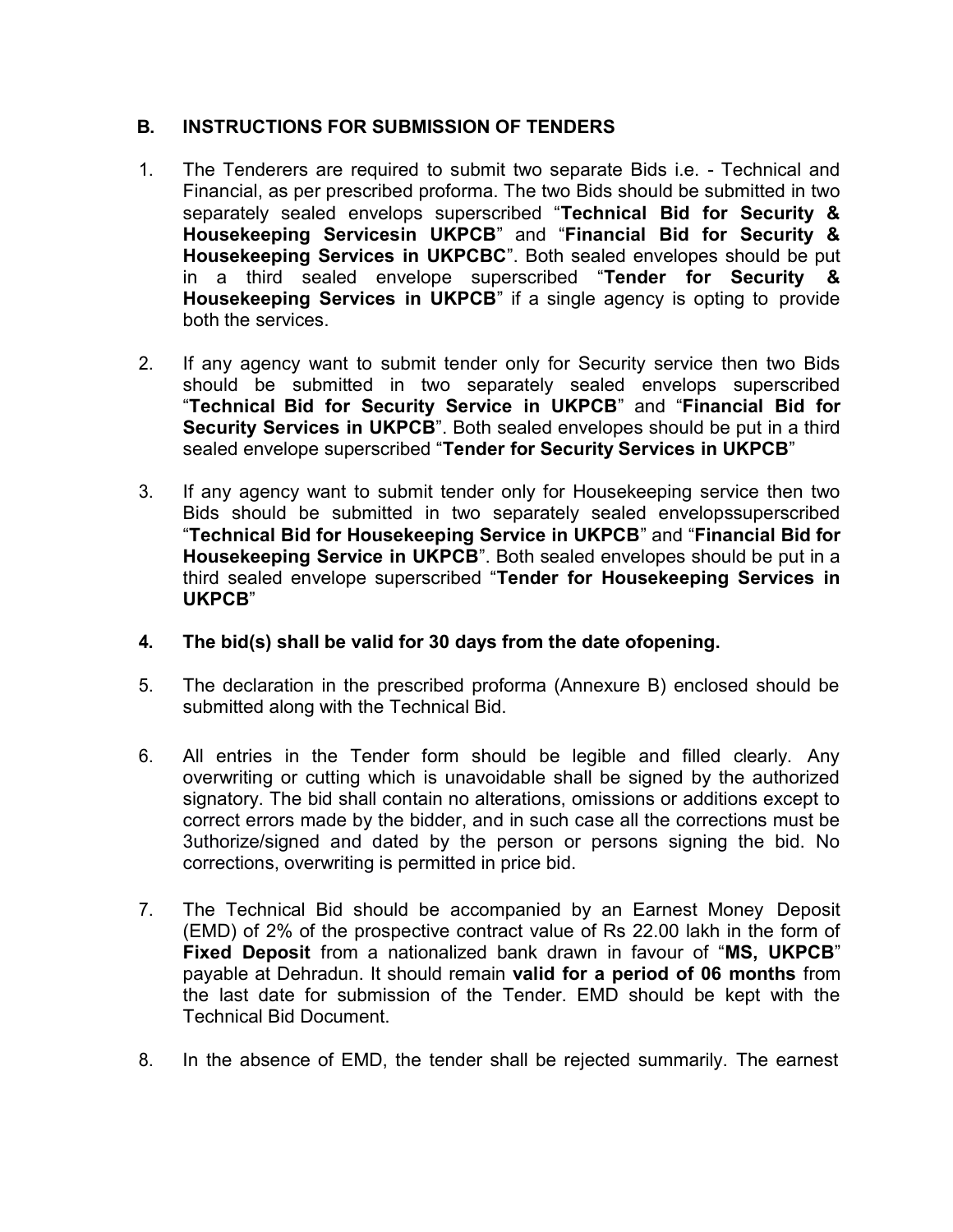## B. INSTRUCTIONS FOR SUBMISSION OF TENDERS

- 1. The Tenderers are required to submit two separate Bids i.e. Technical and Financial, as per prescribed proforma. The two Bids should be submitted in two separately sealed envelops superscribed "Technical Bid for Security & Housekeeping Servicesin UKPCB" and "Financial Bid for Security & Housekeeping Services in UKPCBC". Both sealed envelopes should be put in a third sealed envelope superscribed "Tender for Security & Housekeeping Services in UKPCB" if a single agency is opting to provide both the services.
- 2. If any agency want to submit tender only for Security service then two Bids should be submitted in two separately sealed envelops superscribed "Technical Bid for Security Service in UKPCB" and "Financial Bid for Security Services in UKPCB". Both sealed envelopes should be put in a third sealed envelope superscribed "Tender for Security Services in UKPCB"
- 3. If any agency want to submit tender only for Housekeeping service then two Bids should be submitted in two separately sealed envelopssuperscribed "Technical Bid for Housekeeping Service in UKPCB" and "Financial Bid for Housekeeping Service in UKPCB". Both sealed envelopes should be put in a third sealed envelope superscribed "Tender for Housekeeping Services in UKPCB"
- 4. The bid(s) shall be valid for 30 days from the date ofopening.
- 5. The declaration in the prescribed proforma (Annexure B) enclosed should be submitted along with the Technical Bid.
- 6. All entries in the Tender form should be legible and filled clearly. Any overwriting or cutting which is unavoidable shall be signed by the authorized signatory. The bid shall contain no alterations, omissions or additions except to correct errors made by the bidder, and in such case all the corrections must be 3uthorize/signed and dated by the person or persons signing the bid. No corrections, overwriting is permitted in price bid.
- 7. The Technical Bid should be accompanied by an Earnest Money Deposit (EMD) of 2% of the prospective contract value of Rs 22.00 lakh in the form of Fixed Deposit from a nationalized bank drawn in favour of "MS, UKPCB" payable at Dehradun. It should remain valid for a period of 06 months from the last date for submission of the Tender. EMD should be kept with the Technical Bid Document.
- 8. In the absence of EMD, the tender shall be rejected summarily. The earnest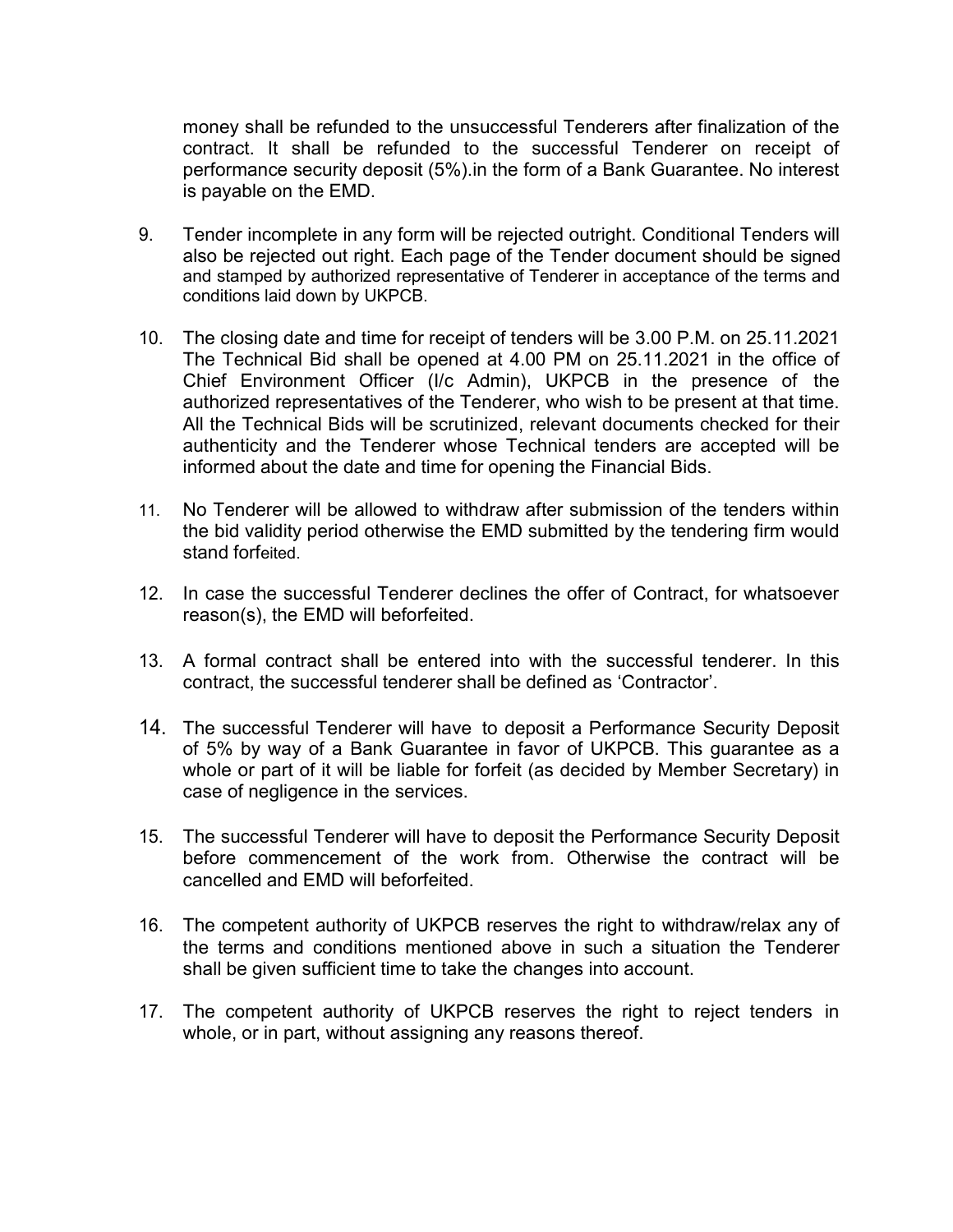money shall be refunded to the unsuccessful Tenderers after finalization of the contract. It shall be refunded to the successful Tenderer on receipt of performance security deposit (5%).in the form of a Bank Guarantee. No interest is payable on the EMD.

- 9. Tender incomplete in any form will be rejected outright. Conditional Tenders will also be rejected out right. Each page of the Tender document should be signed and stamped by authorized representative of Tenderer in acceptance of the terms and conditions laid down by UKPCB.
- 10. The closing date and time for receipt of tenders will be 3.00 P.M. on 25.11.2021 The Technical Bid shall be opened at 4.00 PM on 25.11.2021 in the office of Chief Environment Officer (I/c Admin), UKPCB in the presence of the authorized representatives of the Tenderer, who wish to be present at that time. All the Technical Bids will be scrutinized, relevant documents checked for their authenticity and the Tenderer whose Technical tenders are accepted will be informed about the date and time for opening the Financial Bids.
- 11. No Tenderer will be allowed to withdraw after submission of the tenders within the bid validity period otherwise the EMD submitted by the tendering firm would stand forfeited.
- 12. In case the successful Tenderer declines the offer of Contract, for whatsoever reason(s), the EMD will beforfeited.
- 13. A formal contract shall be entered into with the successful tenderer. In this contract, the successful tenderer shall be defined as 'Contractor'.
- 14. The successful Tenderer will have to deposit a Performance Security Deposit of 5% by way of a Bank Guarantee in favor of UKPCB. This guarantee as a whole or part of it will be liable for forfeit (as decided by Member Secretary) in case of negligence in the services.
- 15. The successful Tenderer will have to deposit the Performance Security Deposit before commencement of the work from. Otherwise the contract will be cancelled and EMD will beforfeited.
- 16. The competent authority of UKPCB reserves the right to withdraw/relax any of the terms and conditions mentioned above in such a situation the Tenderer shall be given sufficient time to take the changes into account.
- 17. The competent authority of UKPCB reserves the right to reject tenders in whole, or in part, without assigning any reasons thereof.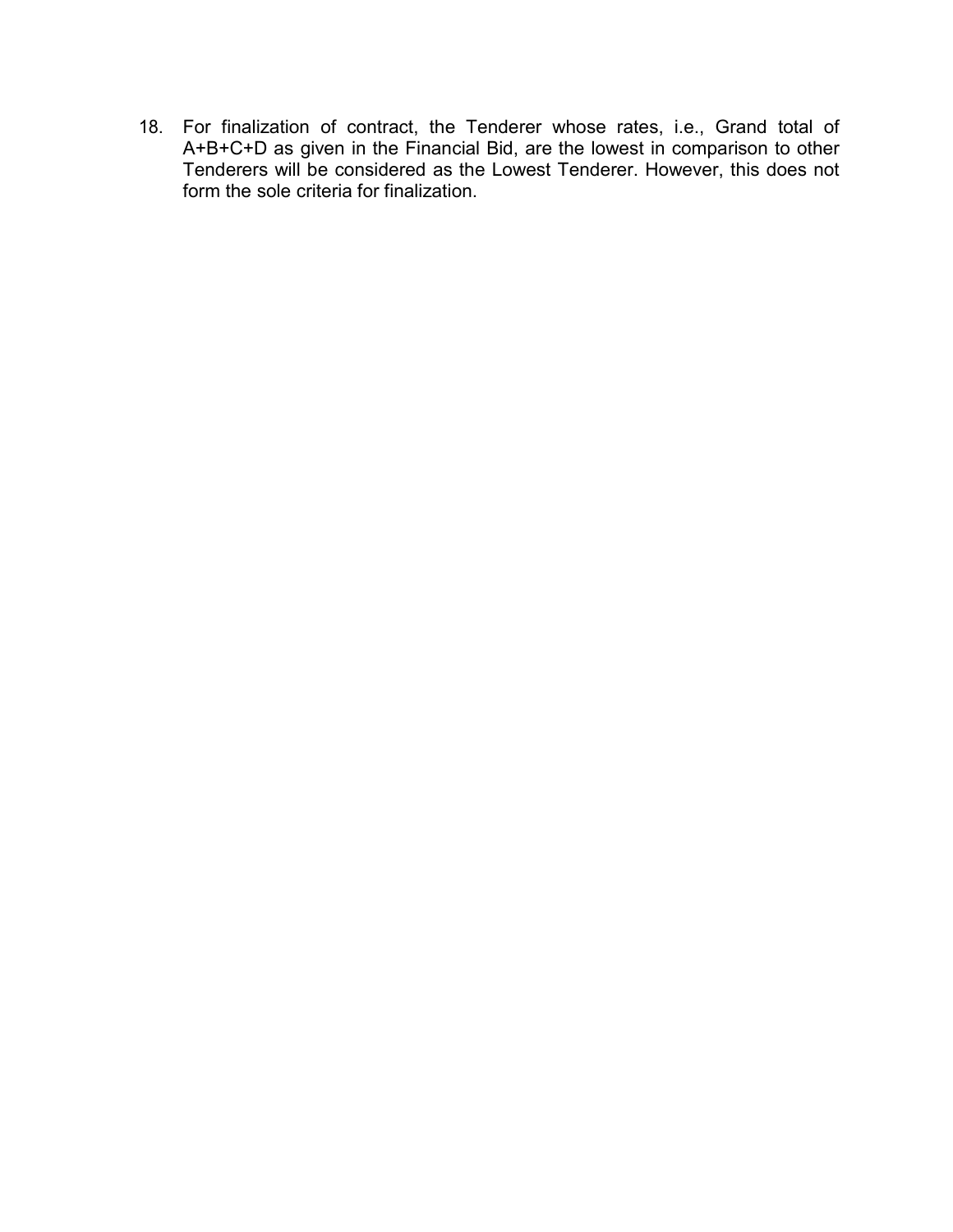18. For finalization of contract, the Tenderer whose rates, i.e., Grand total of A+B+C+D as given in the Financial Bid, are the lowest in comparison to other Tenderers will be considered as the Lowest Tenderer. However, this does not form the sole criteria for finalization.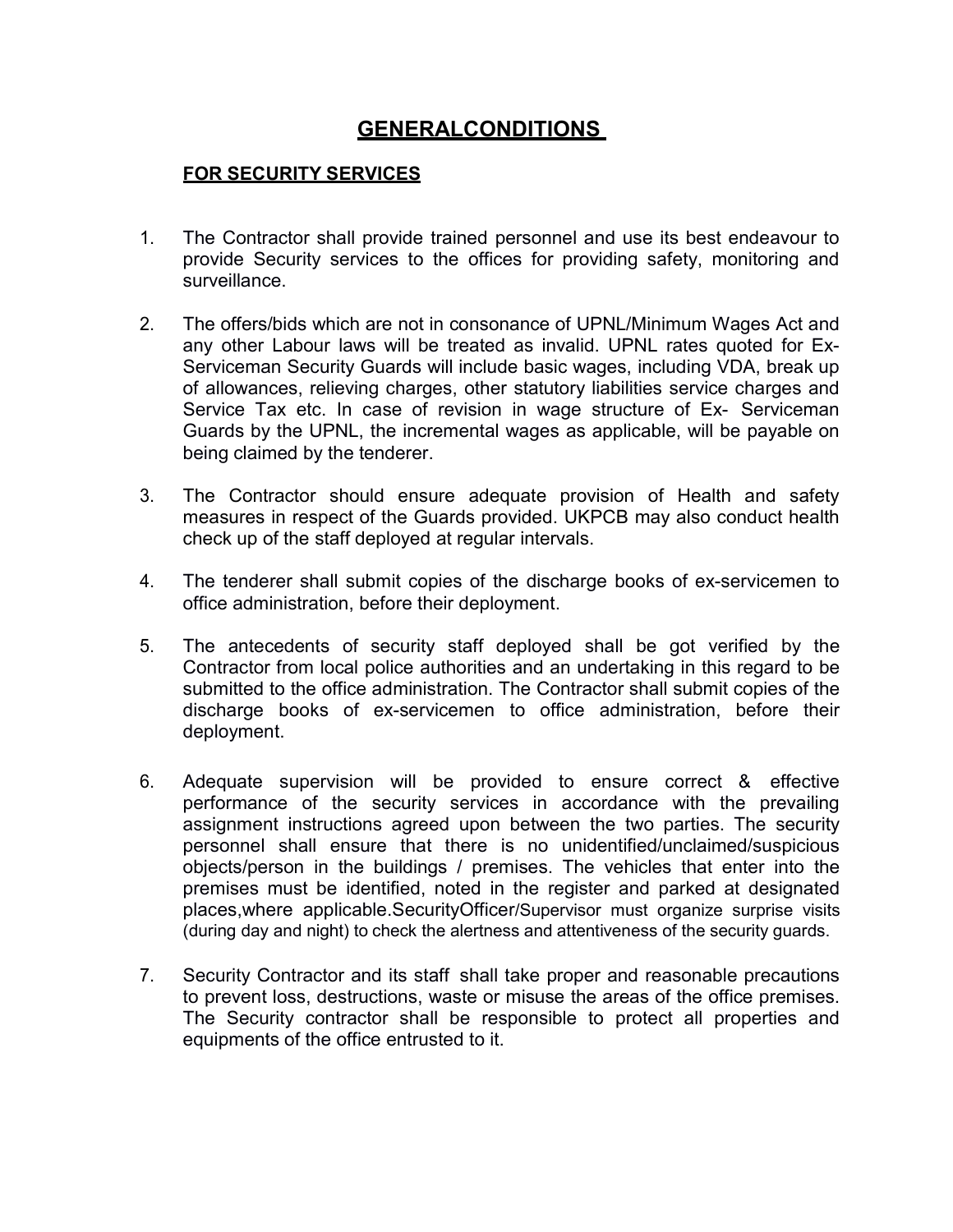# GENERALCONDITIONS

#### FOR SECURITY SERVICES

- 1. The Contractor shall provide trained personnel and use its best endeavour to provide Security services to the offices for providing safety, monitoring and surveillance.
- 2. The offers/bids which are not in consonance of UPNL/Minimum Wages Act and any other Labour laws will be treated as invalid. UPNL rates quoted for Ex-Serviceman Security Guards will include basic wages, including VDA, break up of allowances, relieving charges, other statutory liabilities service charges and Service Tax etc. In case of revision in wage structure of Ex- Serviceman Guards by the UPNL, the incremental wages as applicable, will be payable on being claimed by the tenderer.
- 3. The Contractor should ensure adequate provision of Health and safety measures in respect of the Guards provided. UKPCB may also conduct health check up of the staff deployed at regular intervals.
- 4. The tenderer shall submit copies of the discharge books of ex-servicemen to office administration, before their deployment.
- 5. The antecedents of security staff deployed shall be got verified by the Contractor from local police authorities and an undertaking in this regard to be submitted to the office administration. The Contractor shall submit copies of the discharge books of ex-servicemen to office administration, before their deployment.
- 6. Adequate supervision will be provided to ensure correct & effective performance of the security services in accordance with the prevailing assignment instructions agreed upon between the two parties. The security personnel shall ensure that there is no unidentified/unclaimed/suspicious objects/person in the buildings / premises. The vehicles that enter into the premises must be identified, noted in the register and parked at designated places,where applicable.SecurityOfficer/Supervisor must organize surprise visits (during day and night) to check the alertness and attentiveness of the security guards.
- 7. Security Contractor and its staff shall take proper and reasonable precautions to prevent loss, destructions, waste or misuse the areas of the office premises. The Security contractor shall be responsible to protect all properties and equipments of the office entrusted to it.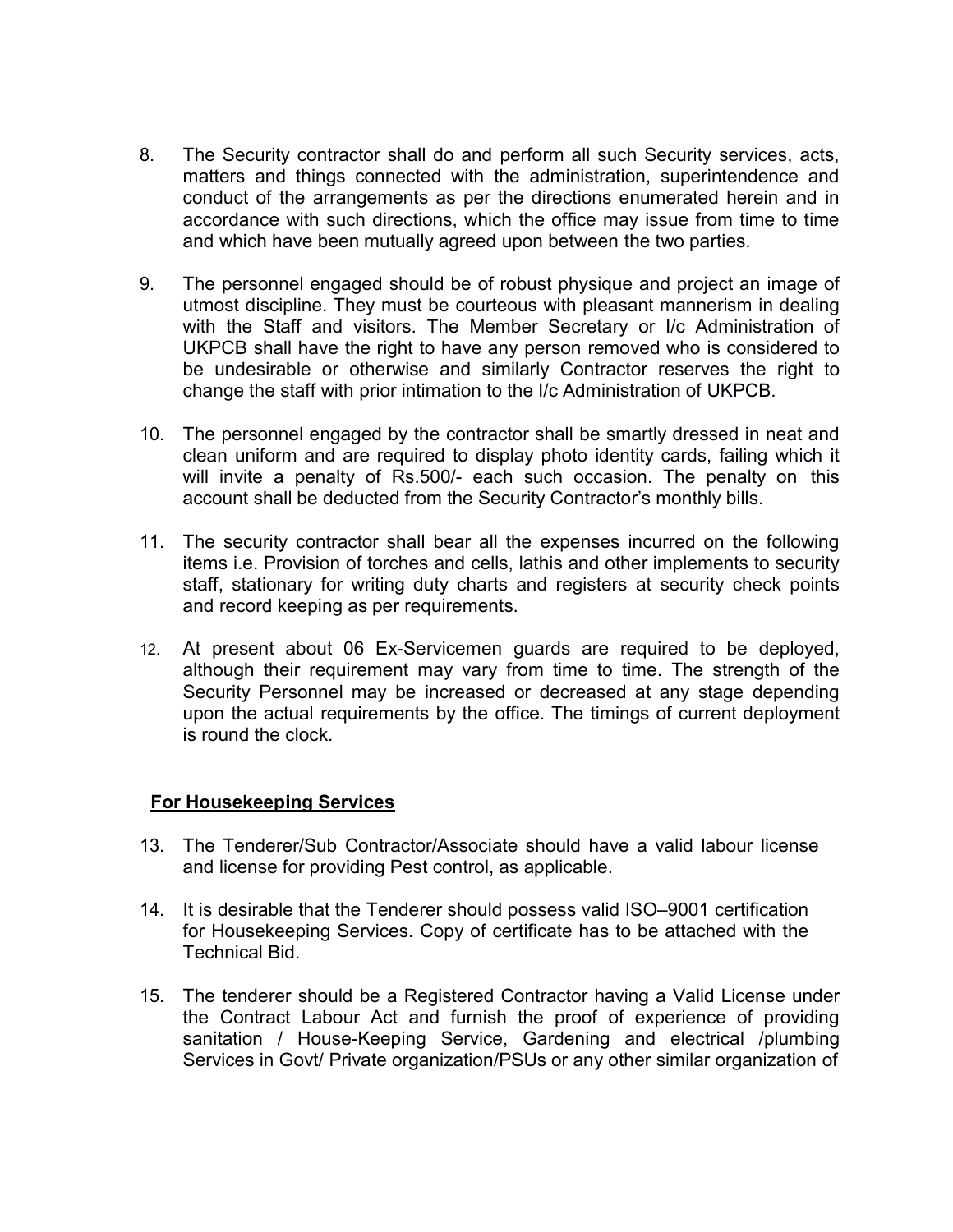- 8. The Security contractor shall do and perform all such Security services, acts, matters and things connected with the administration, superintendence and conduct of the arrangements as per the directions enumerated herein and in accordance with such directions, which the office may issue from time to time and which have been mutually agreed upon between the two parties.
- 9. The personnel engaged should be of robust physique and project an image of utmost discipline. They must be courteous with pleasant mannerism in dealing with the Staff and visitors. The Member Secretary or I/c Administration of UKPCB shall have the right to have any person removed who is considered to be undesirable or otherwise and similarly Contractor reserves the right to change the staff with prior intimation to the I/c Administration of UKPCB.
- 10. The personnel engaged by the contractor shall be smartly dressed in neat and clean uniform and are required to display photo identity cards, failing which it will invite a penalty of Rs.500/- each such occasion. The penalty on this account shall be deducted from the Security Contractor's monthly bills.
- 11. The security contractor shall bear all the expenses incurred on the following items i.e. Provision of torches and cells, lathis and other implements to security staff, stationary for writing duty charts and registers at security check points and record keeping as per requirements.
- 12. At present about 06 Ex-Servicemen guards are required to be deployed, although their requirement may vary from time to time. The strength of the Security Personnel may be increased or decreased at any stage depending upon the actual requirements by the office. The timings of current deployment is round the clock.

#### For Housekeeping Services

- 13. The Tenderer/Sub Contractor/Associate should have a valid labour license and license for providing Pest control, as applicable.
- 14. It is desirable that the Tenderer should possess valid ISO–9001 certification for Housekeeping Services. Copy of certificate has to be attached with the Technical Bid.
- 15. The tenderer should be a Registered Contractor having a Valid License under the Contract Labour Act and furnish the proof of experience of providing sanitation / House-Keeping Service, Gardening and electrical /plumbing Services in Govt/ Private organization/PSUs or any other similar organization of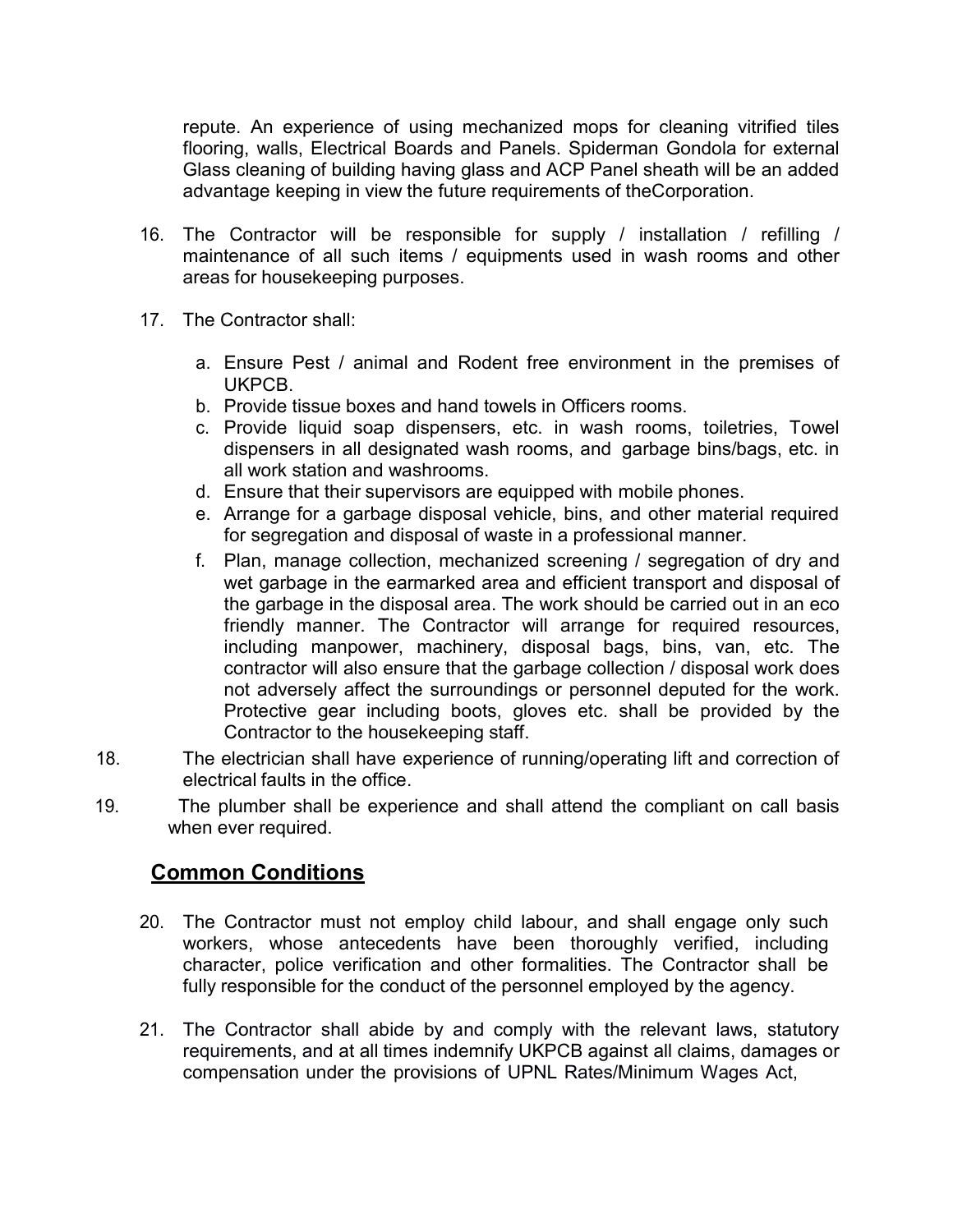repute. An experience of using mechanized mops for cleaning vitrified tiles flooring, walls, Electrical Boards and Panels. Spiderman Gondola for external Glass cleaning of building having glass and ACP Panel sheath will be an added advantage keeping in view the future requirements of theCorporation.

- 16. The Contractor will be responsible for supply / installation / refilling / maintenance of all such items / equipments used in wash rooms and other areas for housekeeping purposes.
- 17. The Contractor shall:
	- a. Ensure Pest / animal and Rodent free environment in the premises of UKPCB.
	- b. Provide tissue boxes and hand towels in Officers rooms.
	- c. Provide liquid soap dispensers, etc. in wash rooms, toiletries, Towel dispensers in all designated wash rooms, and garbage bins/bags, etc. in all work station and washrooms.
	- d. Ensure that their supervisors are equipped with mobile phones.
	- e. Arrange for a garbage disposal vehicle, bins, and other material required for segregation and disposal of waste in a professional manner.
	- f. Plan, manage collection, mechanized screening / segregation of dry and wet garbage in the earmarked area and efficient transport and disposal of the garbage in the disposal area. The work should be carried out in an eco friendly manner. The Contractor will arrange for required resources, including manpower, machinery, disposal bags, bins, van, etc. The contractor will also ensure that the garbage collection / disposal work does not adversely affect the surroundings or personnel deputed for the work. Protective gear including boots, gloves etc. shall be provided by the Contractor to the housekeeping staff.
- 18. The electrician shall have experience of running/operating lift and correction of electrical faults in the office.
- 19. The plumber shall be experience and shall attend the compliant on call basis when ever required.

## Common Conditions

- 20. The Contractor must not employ child labour, and shall engage only such workers, whose antecedents have been thoroughly verified, including character, police verification and other formalities. The Contractor shall be fully responsible for the conduct of the personnel employed by the agency.
- 21. The Contractor shall abide by and comply with the relevant laws, statutory requirements, and at all times indemnify UKPCB against all claims, damages or compensation under the provisions of UPNL Rates/Minimum Wages Act,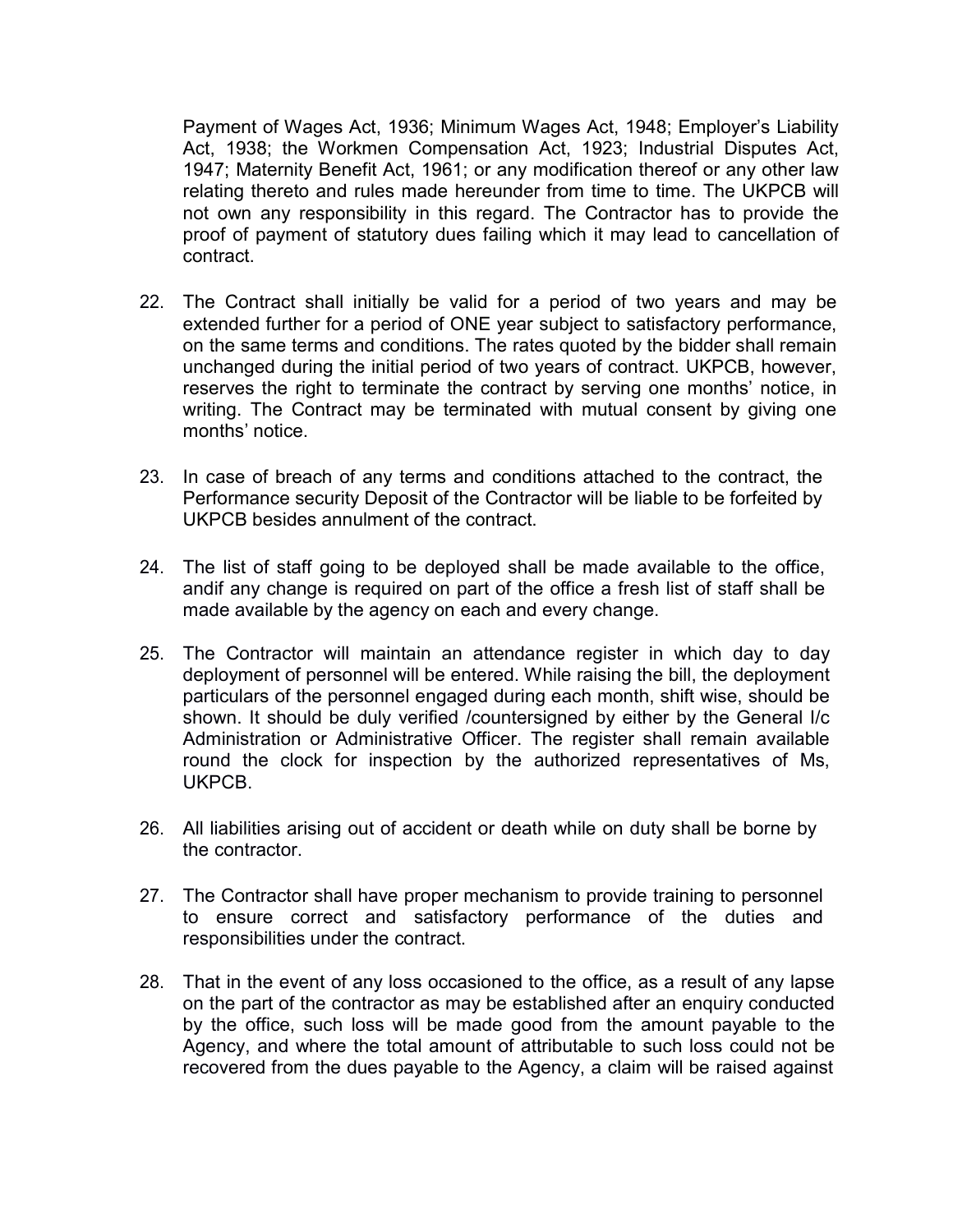Payment of Wages Act, 1936; Minimum Wages Act, 1948; Employer's Liability Act, 1938; the Workmen Compensation Act, 1923; Industrial Disputes Act, 1947; Maternity Benefit Act, 1961; or any modification thereof or any other law relating thereto and rules made hereunder from time to time. The UKPCB will not own any responsibility in this regard. The Contractor has to provide the proof of payment of statutory dues failing which it may lead to cancellation of contract.

- 22. The Contract shall initially be valid for a period of two years and may be extended further for a period of ONE year subject to satisfactory performance, on the same terms and conditions. The rates quoted by the bidder shall remain unchanged during the initial period of two years of contract. UKPCB, however, reserves the right to terminate the contract by serving one months' notice, in writing. The Contract may be terminated with mutual consent by giving one months' notice.
- 23. In case of breach of any terms and conditions attached to the contract, the Performance security Deposit of the Contractor will be liable to be forfeited by UKPCB besides annulment of the contract.
- 24. The list of staff going to be deployed shall be made available to the office, andif any change is required on part of the office a fresh list of staff shall be made available by the agency on each and every change.
- 25. The Contractor will maintain an attendance register in which day to day deployment of personnel will be entered. While raising the bill, the deployment particulars of the personnel engaged during each month, shift wise, should be shown. It should be duly verified /countersigned by either by the General I/c Administration or Administrative Officer. The register shall remain available round the clock for inspection by the authorized representatives of Ms, UKPCB.
- 26. All liabilities arising out of accident or death while on duty shall be borne by the contractor.
- 27. The Contractor shall have proper mechanism to provide training to personnel to ensure correct and satisfactory performance of the duties and responsibilities under the contract.
- 28. That in the event of any loss occasioned to the office, as a result of any lapse on the part of the contractor as may be established after an enquiry conducted by the office, such loss will be made good from the amount payable to the Agency, and where the total amount of attributable to such loss could not be recovered from the dues payable to the Agency, a claim will be raised against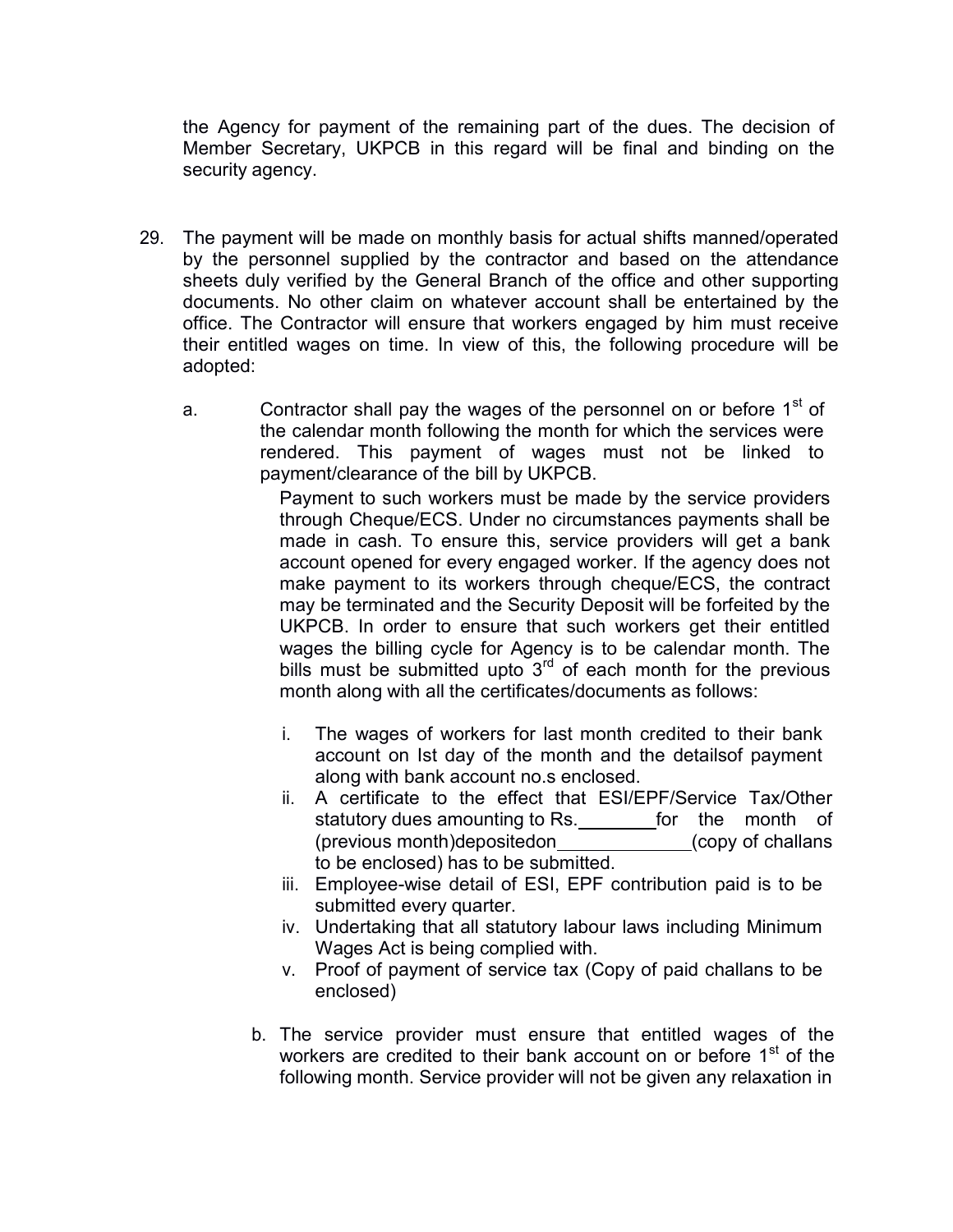the Agency for payment of the remaining part of the dues. The decision of Member Secretary, UKPCB in this regard will be final and binding on the security agency.

- 29. The payment will be made on monthly basis for actual shifts manned/operated by the personnel supplied by the contractor and based on the attendance sheets duly verified by the General Branch of the office and other supporting documents. No other claim on whatever account shall be entertained by the office. The Contractor will ensure that workers engaged by him must receive their entitled wages on time. In view of this, the following procedure will be adopted:
	- a. Contractor shall pay the wages of the personnel on or before  $1<sup>st</sup>$  of the calendar month following the month for which the services were rendered. This payment of wages must not be linked to payment/clearance of the bill by UKPCB.

Payment to such workers must be made by the service providers through Cheque/ECS. Under no circumstances payments shall be made in cash. To ensure this, service providers will get a bank account opened for every engaged worker. If the agency does not make payment to its workers through cheque/ECS, the contract may be terminated and the Security Deposit will be forfeited by the UKPCB. In order to ensure that such workers get their entitled wages the billing cycle for Agency is to be calendar month. The bills must be submitted upto  $3<sup>rd</sup>$  of each month for the previous month along with all the certificates/documents as follows:

- i. The wages of workers for last month credited to their bank account on Ist day of the month and the detailsof payment along with bank account no.s enclosed.
- ii. A certificate to the effect that ESI/EPF/Service Tax/Other statutory dues amounting to Rs. \_\_\_\_\_\_\_\_for the month of (previous month)depositedon (copy of challans to be enclosed) has to be submitted.
- iii. Employee-wise detail of ESI, EPF contribution paid is to be submitted every quarter.
- iv. Undertaking that all statutory labour laws including Minimum Wages Act is being complied with.
- v. Proof of payment of service tax (Copy of paid challans to be enclosed)
- b. The service provider must ensure that entitled wages of the workers are credited to their bank account on or before 1<sup>st</sup> of the following month. Service provider will not be given any relaxation in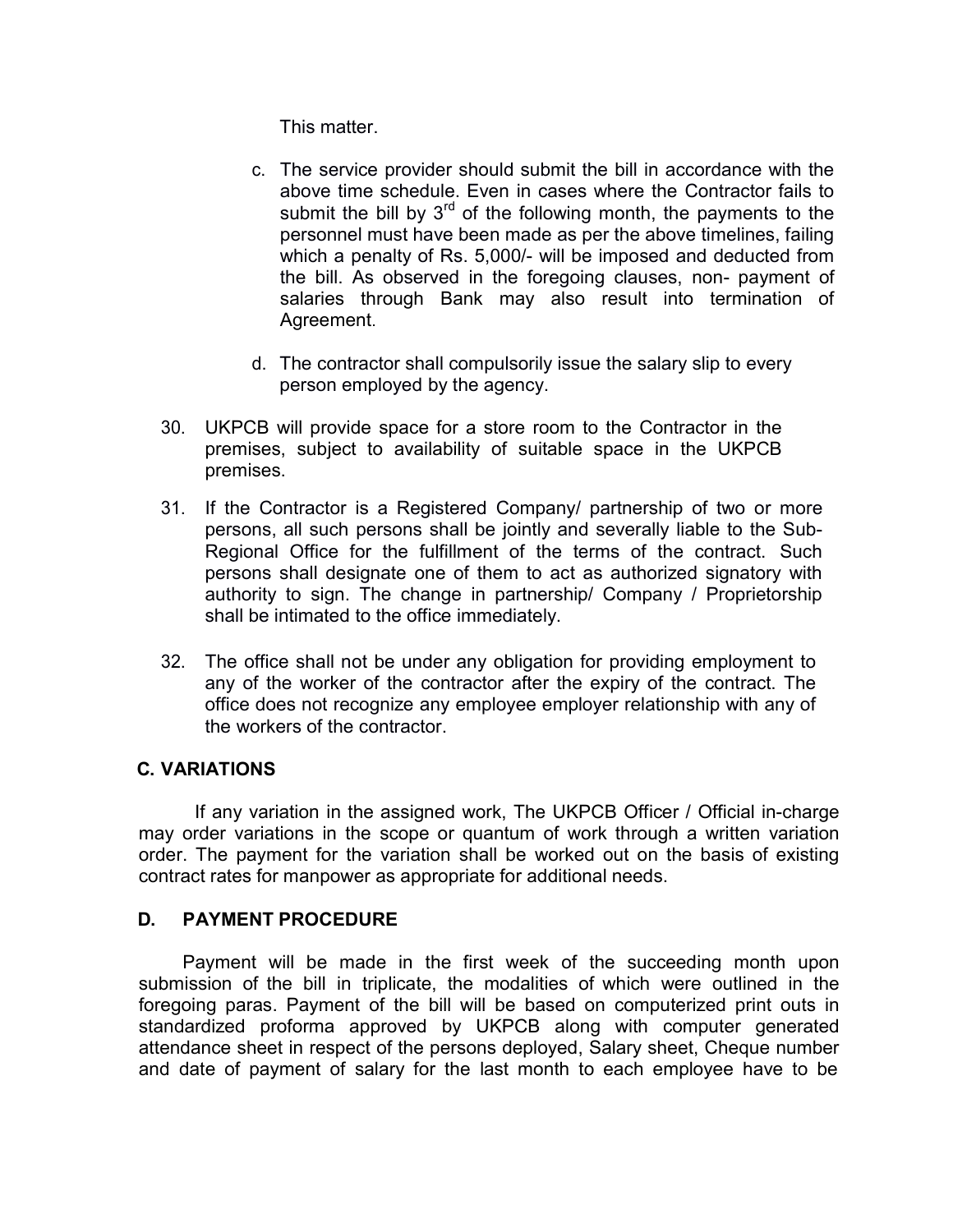This matter.

- c. The service provider should submit the bill in accordance with the above time schedule. Even in cases where the Contractor fails to submit the bill by  $3<sup>rd</sup>$  of the following month, the payments to the personnel must have been made as per the above timelines, failing which a penalty of Rs. 5,000/- will be imposed and deducted from the bill. As observed in the foregoing clauses, non- payment of salaries through Bank may also result into termination of Agreement.
- d. The contractor shall compulsorily issue the salary slip to every person employed by the agency.
- 30. UKPCB will provide space for a store room to the Contractor in the premises, subject to availability of suitable space in the UKPCB premises.
- 31. If the Contractor is a Registered Company/ partnership of two or more persons, all such persons shall be jointly and severally liable to the Sub-Regional Office for the fulfillment of the terms of the contract. Such persons shall designate one of them to act as authorized signatory with authority to sign. The change in partnership/ Company / Proprietorship shall be intimated to the office immediately.
- 32. The office shall not be under any obligation for providing employment to any of the worker of the contractor after the expiry of the contract. The office does not recognize any employee employer relationship with any of the workers of the contractor.

## C. VARIATIONS

If any variation in the assigned work, The UKPCB Officer / Official in-charge may order variations in the scope or quantum of work through a written variation order. The payment for the variation shall be worked out on the basis of existing contract rates for manpower as appropriate for additional needs.

#### D. PAYMENT PROCEDURE

Payment will be made in the first week of the succeeding month upon submission of the bill in triplicate, the modalities of which were outlined in the foregoing paras. Payment of the bill will be based on computerized print outs in standardized proforma approved by UKPCB along with computer generated attendance sheet in respect of the persons deployed, Salary sheet, Cheque number and date of payment of salary for the last month to each employee have to be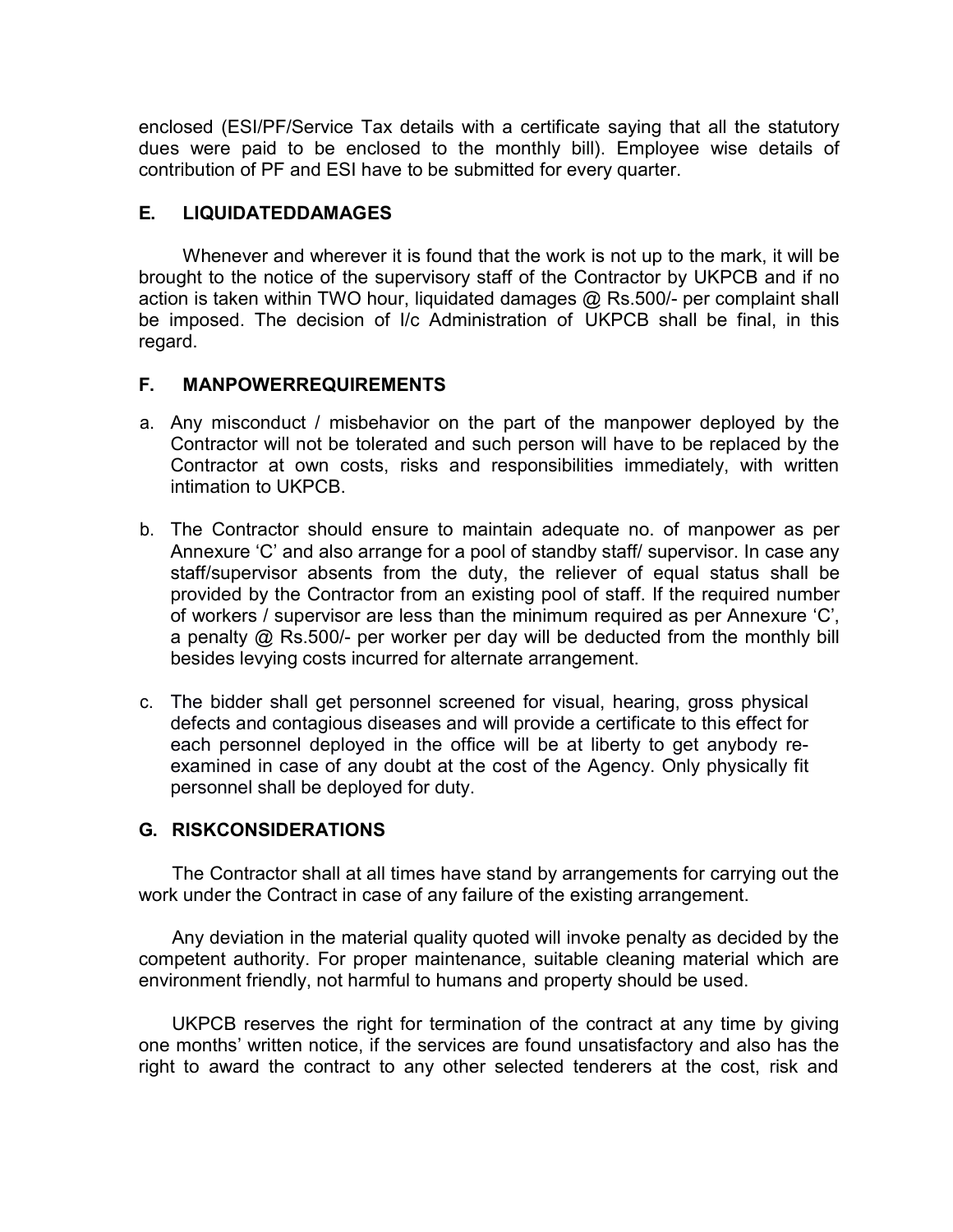enclosed (ESI/PF/Service Tax details with a certificate saying that all the statutory dues were paid to be enclosed to the monthly bill). Employee wise details of contribution of PF and ESI have to be submitted for every quarter.

## E. LIQUIDATEDDAMAGES

Whenever and wherever it is found that the work is not up to the mark, it will be brought to the notice of the supervisory staff of the Contractor by UKPCB and if no action is taken within TWO hour, liquidated damages @ Rs.500/- per complaint shall be imposed. The decision of I/c Administration of UKPCB shall be final, in this regard.

## F. MANPOWERREQUIREMENTS

- a. Any misconduct / misbehavior on the part of the manpower deployed by the Contractor will not be tolerated and such person will have to be replaced by the Contractor at own costs, risks and responsibilities immediately, with written intimation to UKPCB.
- b. The Contractor should ensure to maintain adequate no. of manpower as per Annexure 'C' and also arrange for a pool of standby staff/ supervisor. In case any staff/supervisor absents from the duty, the reliever of equal status shall be provided by the Contractor from an existing pool of staff. If the required number of workers / supervisor are less than the minimum required as per Annexure 'C', a penalty @ Rs.500/- per worker per day will be deducted from the monthly bill besides levying costs incurred for alternate arrangement.
- c. The bidder shall get personnel screened for visual, hearing, gross physical defects and contagious diseases and will provide a certificate to this effect for each personnel deployed in the office will be at liberty to get anybody reexamined in case of any doubt at the cost of the Agency. Only physically fit personnel shall be deployed for duty.

## G. RISKCONSIDERATIONS

The Contractor shall at all times have stand by arrangements for carrying out the work under the Contract in case of any failure of the existing arrangement.

Any deviation in the material quality quoted will invoke penalty as decided by the competent authority. For proper maintenance, suitable cleaning material which are environment friendly, not harmful to humans and property should be used.

UKPCB reserves the right for termination of the contract at any time by giving one months' written notice, if the services are found unsatisfactory and also has the right to award the contract to any other selected tenderers at the cost, risk and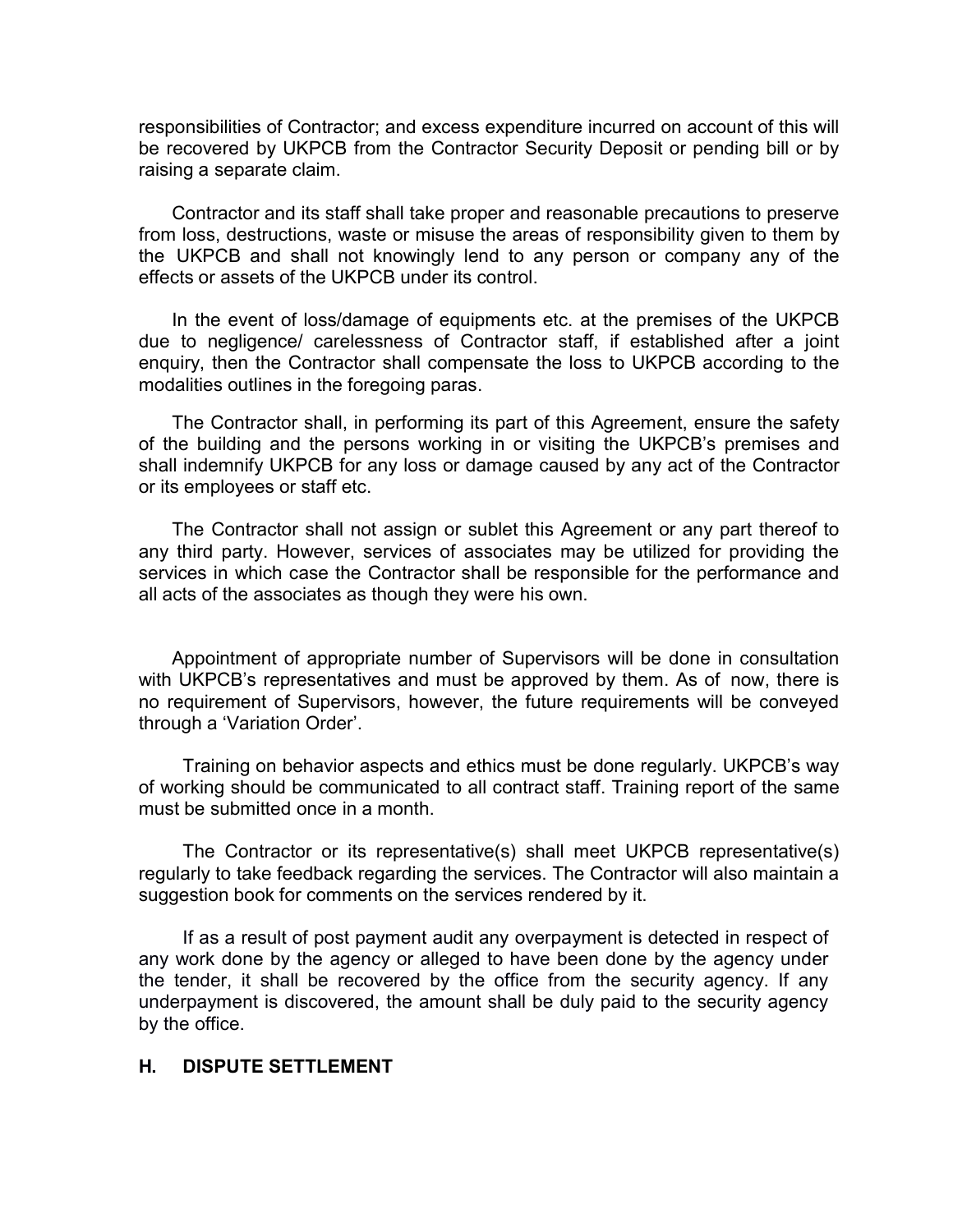responsibilities of Contractor; and excess expenditure incurred on account of this will be recovered by UKPCB from the Contractor Security Deposit or pending bill or by raising a separate claim.

Contractor and its staff shall take proper and reasonable precautions to preserve from loss, destructions, waste or misuse the areas of responsibility given to them by the UKPCB and shall not knowingly lend to any person or company any of the effects or assets of the UKPCB under its control.

In the event of loss/damage of equipments etc. at the premises of the UKPCB due to negligence/ carelessness of Contractor staff, if established after a joint enquiry, then the Contractor shall compensate the loss to UKPCB according to the modalities outlines in the foregoing paras.

The Contractor shall, in performing its part of this Agreement, ensure the safety of the building and the persons working in or visiting the UKPCB's premises and shall indemnify UKPCB for any loss or damage caused by any act of the Contractor or its employees or staff etc.

The Contractor shall not assign or sublet this Agreement or any part thereof to any third party. However, services of associates may be utilized for providing the services in which case the Contractor shall be responsible for the performance and all acts of the associates as though they were his own.

Appointment of appropriate number of Supervisors will be done in consultation with UKPCB's representatives and must be approved by them. As of now, there is no requirement of Supervisors, however, the future requirements will be conveyed through a 'Variation Order'.

Training on behavior aspects and ethics must be done regularly. UKPCB's way of working should be communicated to all contract staff. Training report of the same must be submitted once in a month.

The Contractor or its representative(s) shall meet UKPCB representative(s) regularly to take feedback regarding the services. The Contractor will also maintain a suggestion book for comments on the services rendered by it.

If as a result of post payment audit any overpayment is detected in respect of any work done by the agency or alleged to have been done by the agency under the tender, it shall be recovered by the office from the security agency. If any underpayment is discovered, the amount shall be duly paid to the security agency by the office.

#### H. DISPUTE SETTLEMENT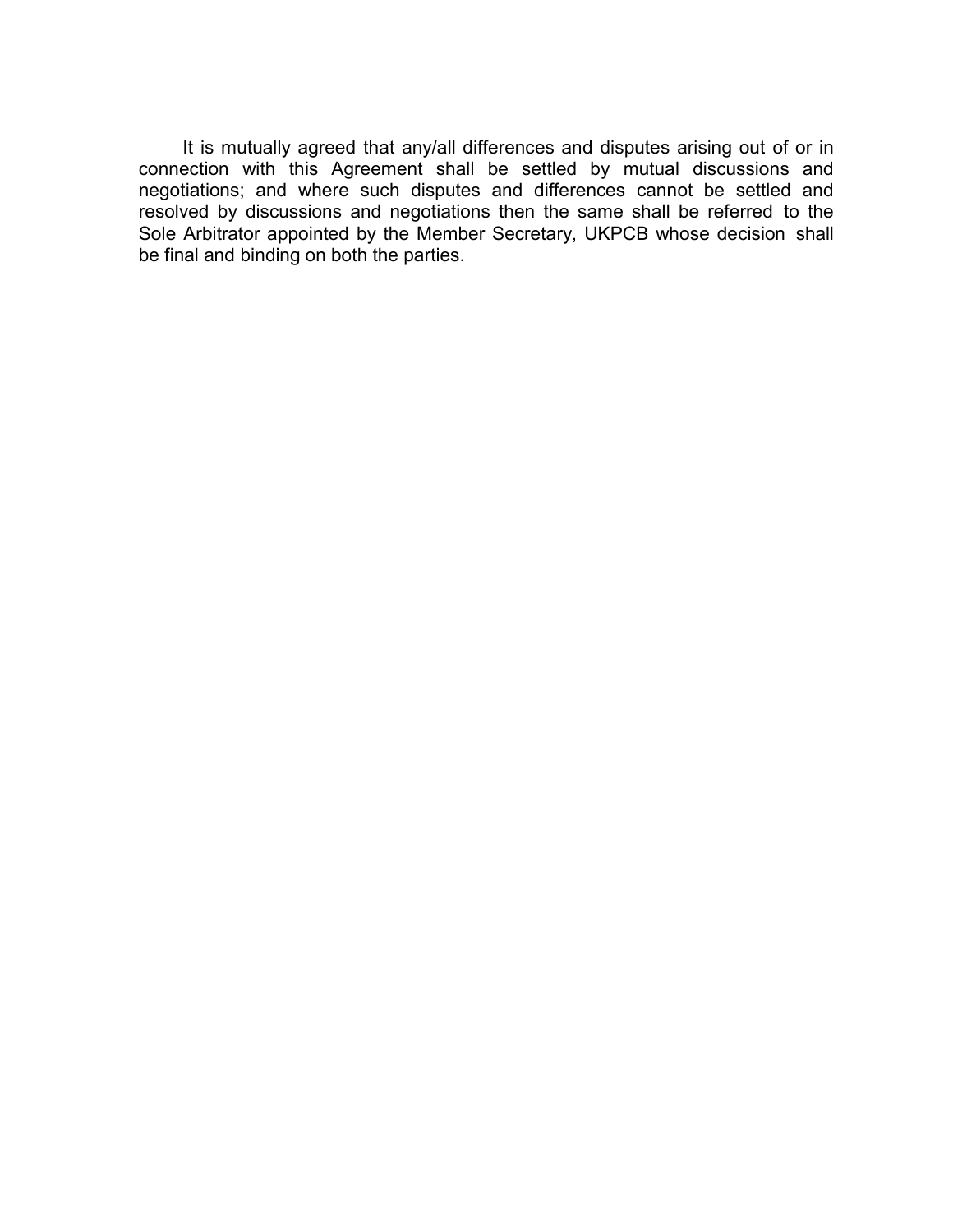It is mutually agreed that any/all differences and disputes arising out of or in connection with this Agreement shall be settled by mutual discussions and negotiations; and where such disputes and differences cannot be settled and resolved by discussions and negotiations then the same shall be referred to the Sole Arbitrator appointed by the Member Secretary, UKPCB whose decision shall be final and binding on both the parties.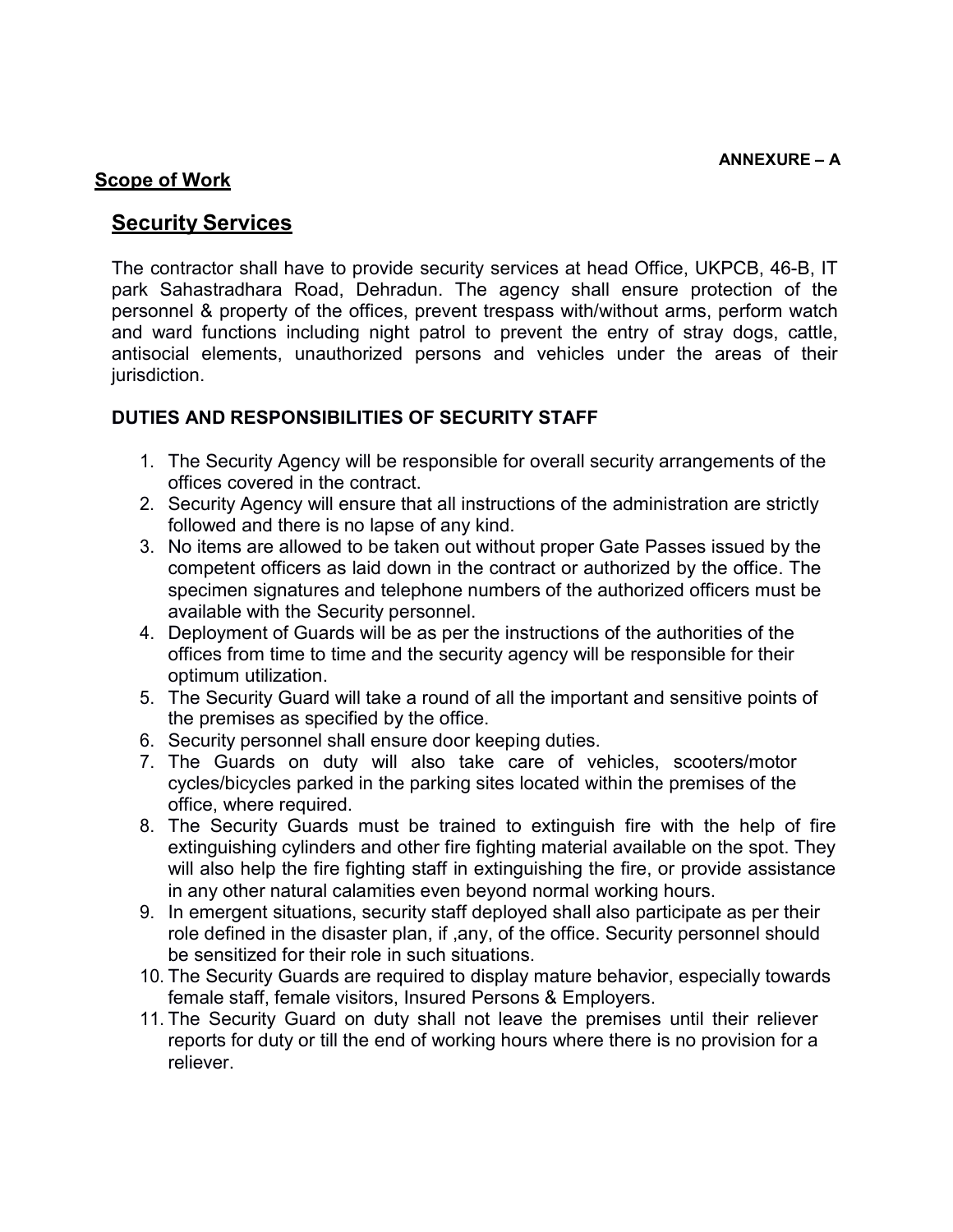#### **Scope of Work**

## **Security Services**

The contractor shall have to provide security services at head Office, UKPCB, 46-B, IT park Sahastradhara Road, Dehradun. The agency shall ensure protection of the personnel & property of the offices, prevent trespass with/without arms, perform watch and ward functions including night patrol to prevent the entry of stray dogs, cattle, antisocial elements, unauthorized persons and vehicles under the areas of their jurisdiction.

#### DUTIES AND RESPONSIBILITIES OF SECURITY STAFF

- 1. The Security Agency will be responsible for overall security arrangements of the offices covered in the contract.
- 2. Security Agency will ensure that all instructions of the administration are strictly followed and there is no lapse of any kind.
- 3. No items are allowed to be taken out without proper Gate Passes issued by the competent officers as laid down in the contract or authorized by the office. The specimen signatures and telephone numbers of the authorized officers must be available with the Security personnel.
- 4. Deployment of Guards will be as per the instructions of the authorities of the offices from time to time and the security agency will be responsible for their optimum utilization.
- 5. The Security Guard will take a round of all the important and sensitive points of the premises as specified by the office.
- 6. Security personnel shall ensure door keeping duties.
- 7. The Guards on duty will also take care of vehicles, scooters/motor cycles/bicycles parked in the parking sites located within the premises of the office, where required.
- 8. The Security Guards must be trained to extinguish fire with the help of fire extinguishing cylinders and other fire fighting material available on the spot. They will also help the fire fighting staff in extinguishing the fire, or provide assistance in any other natural calamities even beyond normal working hours.
- 9. In emergent situations, security staff deployed shall also participate as per their role defined in the disaster plan, if ,any, of the office. Security personnel should be sensitized for their role in such situations.
- 10. The Security Guards are required to display mature behavior, especially towards female staff, female visitors, Insured Persons & Employers.
- 11. The Security Guard on duty shall not leave the premises until their reliever reports for duty or till the end of working hours where there is no provision for a reliever.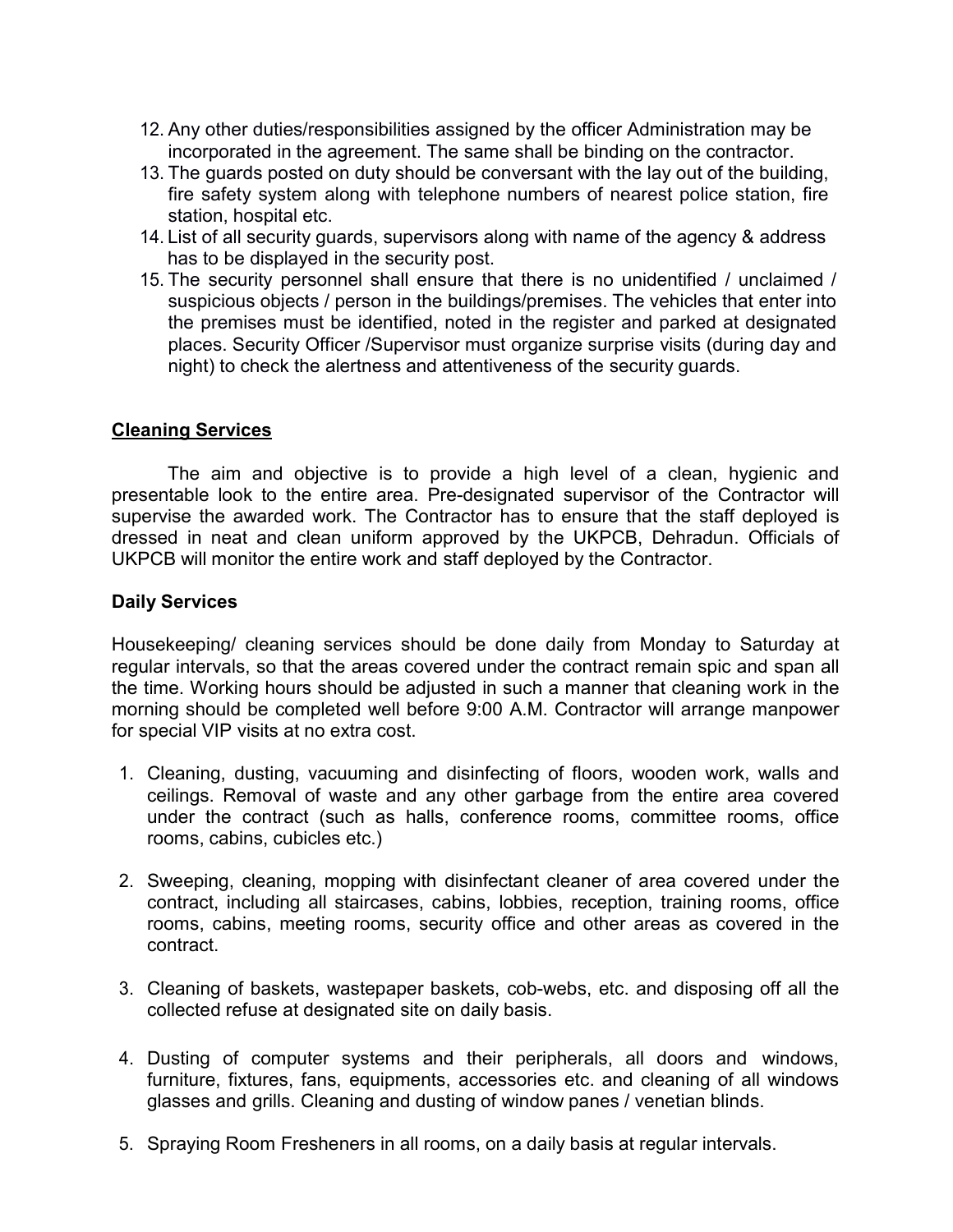- 12. Any other duties/responsibilities assigned by the officer Administration may be incorporated in the agreement. The same shall be binding on the contractor.
- 13. The guards posted on duty should be conversant with the lay out of the building, fire safety system along with telephone numbers of nearest police station, fire station, hospital etc.
- 14. List of all security guards, supervisors along with name of the agency & address has to be displayed in the security post.
- 15. The security personnel shall ensure that there is no unidentified / unclaimed / suspicious objects / person in the buildings/premises. The vehicles that enter into the premises must be identified, noted in the register and parked at designated places. Security Officer /Supervisor must organize surprise visits (during day and night) to check the alertness and attentiveness of the security guards.

#### Cleaning Services

The aim and objective is to provide a high level of a clean, hygienic and presentable look to the entire area. Pre-designated supervisor of the Contractor will supervise the awarded work. The Contractor has to ensure that the staff deployed is dressed in neat and clean uniform approved by the UKPCB, Dehradun. Officials of UKPCB will monitor the entire work and staff deployed by the Contractor.

#### Daily Services

Housekeeping/ cleaning services should be done daily from Monday to Saturday at regular intervals, so that the areas covered under the contract remain spic and span all the time. Working hours should be adjusted in such a manner that cleaning work in the morning should be completed well before 9:00 A.M. Contractor will arrange manpower for special VIP visits at no extra cost.

- 1. Cleaning, dusting, vacuuming and disinfecting of floors, wooden work, walls and ceilings. Removal of waste and any other garbage from the entire area covered under the contract (such as halls, conference rooms, committee rooms, office rooms, cabins, cubicles etc.)
- 2. Sweeping, cleaning, mopping with disinfectant cleaner of area covered under the contract, including all staircases, cabins, lobbies, reception, training rooms, office rooms, cabins, meeting rooms, security office and other areas as covered in the contract.
- 3. Cleaning of baskets, wastepaper baskets, cob-webs, etc. and disposing off all the collected refuse at designated site on daily basis.
- 4. Dusting of computer systems and their peripherals, all doors and windows, furniture, fixtures, fans, equipments, accessories etc. and cleaning of all windows glasses and grills. Cleaning and dusting of window panes / venetian blinds.
- 5. Spraying Room Fresheners in all rooms, on a daily basis at regular intervals.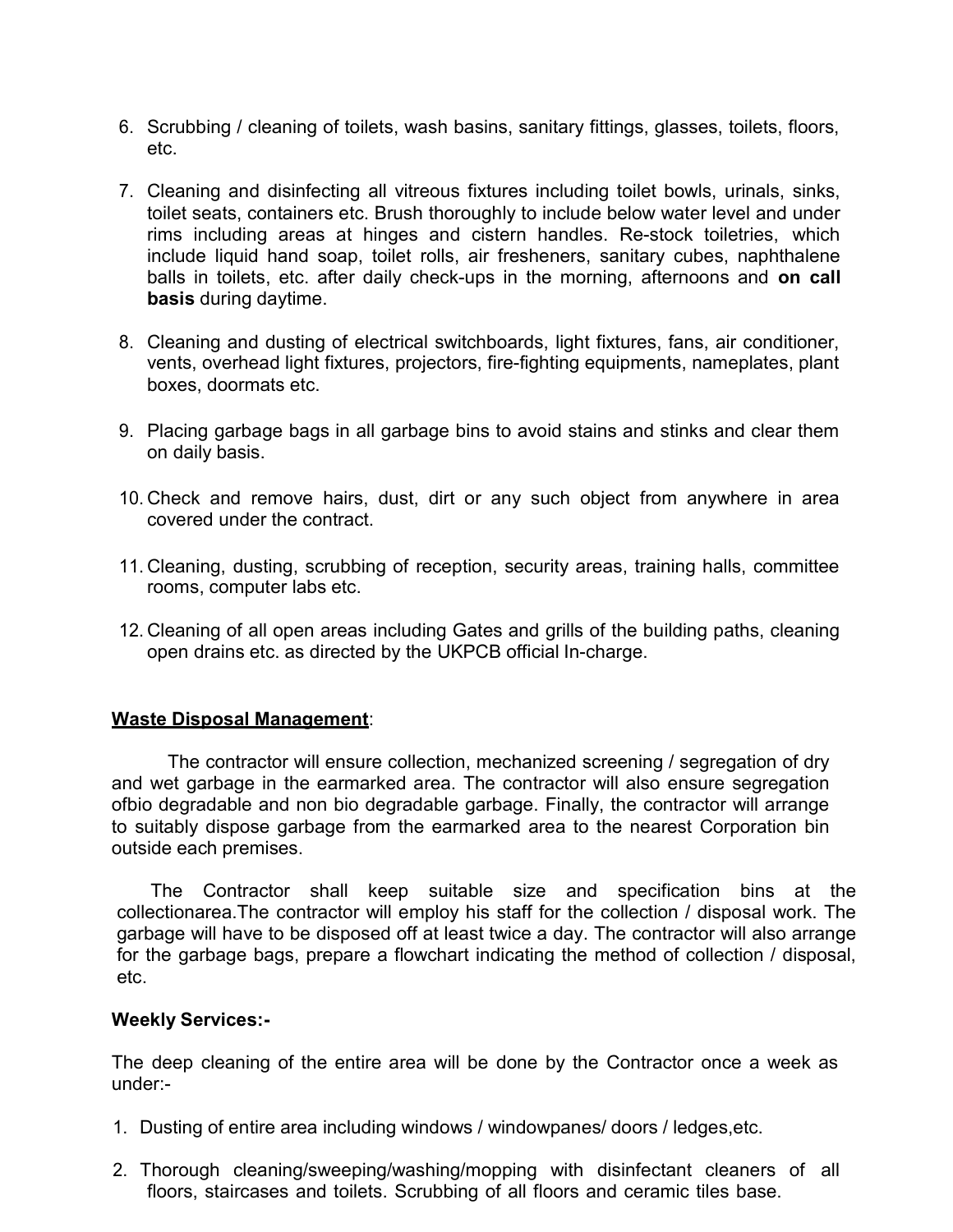- 6. Scrubbing / cleaning of toilets, wash basins, sanitary fittings, glasses, toilets, floors, etc.
- 7. Cleaning and disinfecting all vitreous fixtures including toilet bowls, urinals, sinks, toilet seats, containers etc. Brush thoroughly to include below water level and under rims including areas at hinges and cistern handles. Re-stock toiletries, which include liquid hand soap, toilet rolls, air fresheners, sanitary cubes, naphthalene balls in toilets, etc. after daily check-ups in the morning, afternoons and on call basis during daytime.
- 8. Cleaning and dusting of electrical switchboards, light fixtures, fans, air conditioner, vents, overhead light fixtures, projectors, fire-fighting equipments, nameplates, plant boxes, doormats etc.
- 9. Placing garbage bags in all garbage bins to avoid stains and stinks and clear them on daily basis.
- 10. Check and remove hairs, dust, dirt or any such object from anywhere in area covered under the contract.
- 11. Cleaning, dusting, scrubbing of reception, security areas, training halls, committee rooms, computer labs etc.
- 12. Cleaning of all open areas including Gates and grills of the building paths, cleaning open drains etc. as directed by the UKPCB official In-charge.

#### Waste Disposal Management:

The contractor will ensure collection, mechanized screening / segregation of dry and wet garbage in the earmarked area. The contractor will also ensure segregation ofbio degradable and non bio degradable garbage. Finally, the contractor will arrange to suitably dispose garbage from the earmarked area to the nearest Corporation bin outside each premises.

The Contractor shall keep suitable size and specification bins at the collectionarea.The contractor will employ his staff for the collection / disposal work. The garbage will have to be disposed off at least twice a day. The contractor will also arrange for the garbage bags, prepare a flowchart indicating the method of collection / disposal, etc.

#### Weekly Services:-

The deep cleaning of the entire area will be done by the Contractor once a week as under:-

- 1. Dusting of entire area including windows / windowpanes/ doors / ledges,etc.
- 2. Thorough cleaning/sweeping/washing/mopping with disinfectant cleaners of all floors, staircases and toilets. Scrubbing of all floors and ceramic tiles base.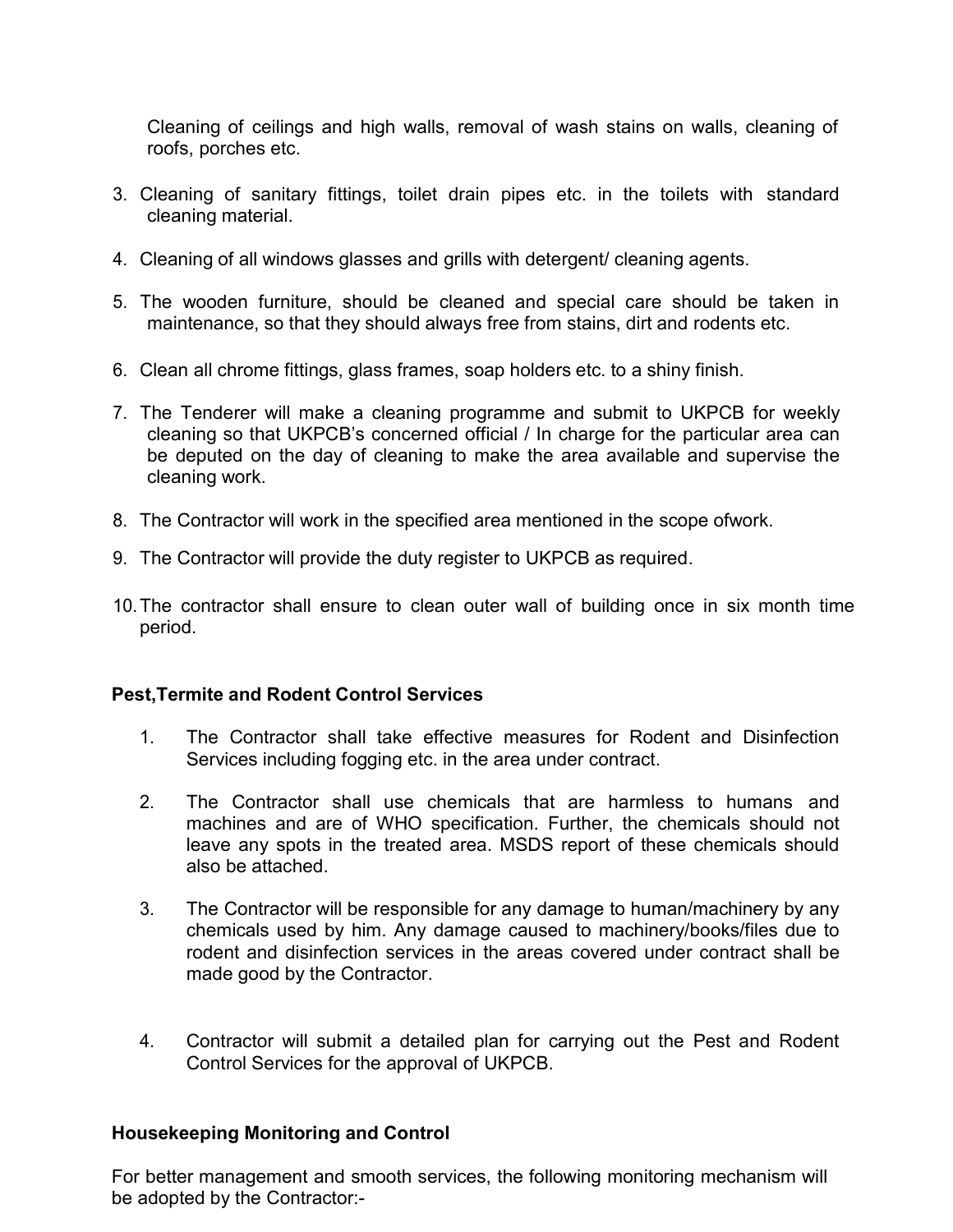Cleaning of ceilings and high walls, removal of wash stains on walls, cleaning of roofs, porches etc.

- 3. Cleaning of sanitary fittings, toilet drain pipes etc. in the toilets with standard cleaning material.
- 4. Cleaning of all windows glasses and grills with detergent/ cleaning agents.
- 5. The wooden furniture, should be cleaned and special care should be taken in maintenance, so that they should always free from stains, dirt and rodents etc.
- 6. Clean all chrome fittings, glass frames, soap holders etc. to a shiny finish.
- 7. The Tenderer will make a cleaning programme and submit to UKPCB for weekly cleaning so that UKPCB's concerned official / In charge for the particular area can be deputed on the day of cleaning to make the area available and supervise the cleaning work.
- 8. The Contractor will work in the specified area mentioned in the scope ofwork.
- 9. The Contractor will provide the duty register to UKPCB as required.
- 10. The contractor shall ensure to clean outer wall of building once in six month time period.

#### Pest,Termite and Rodent Control Services

- 1. The Contractor shall take effective measures for Rodent and Disinfection Services including fogging etc. in the area under contract.
- 2. The Contractor shall use chemicals that are harmless to humans and machines and are of WHO specification. Further, the chemicals should not leave any spots in the treated area. MSDS report of these chemicals should also be attached.
- 3. The Contractor will be responsible for any damage to human/machinery by any chemicals used by him. Any damage caused to machinery/books/files due to rodent and disinfection services in the areas covered under contract shall be made good by the Contractor.
- 4. Contractor will submit a detailed plan for carrying out the Pest and Rodent Control Services for the approval of UKPCB.

#### Housekeeping Monitoring and Control

For better management and smooth services, the following monitoring mechanism will be adopted by the Contractor:-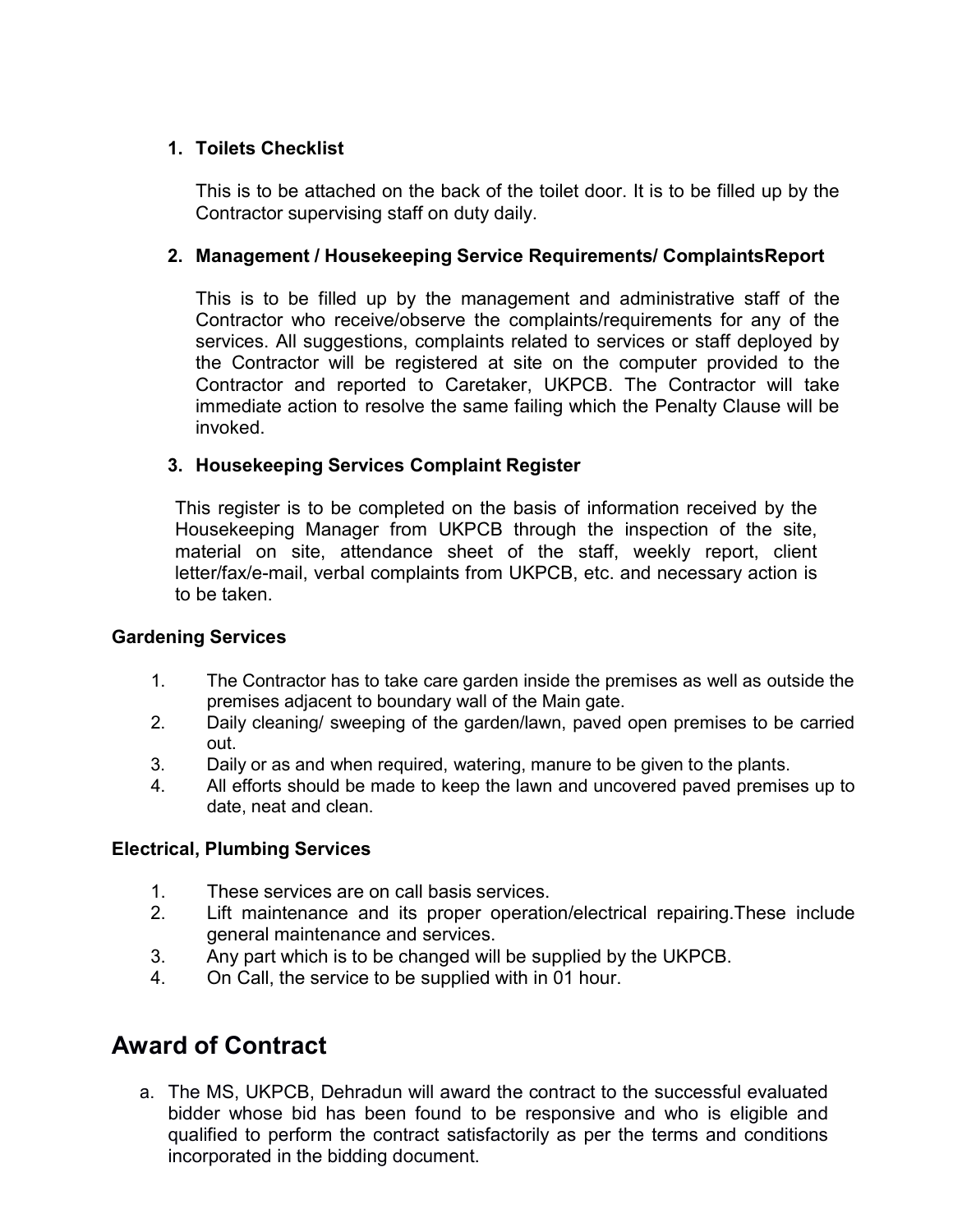## 1. Toilets Checklist

This is to be attached on the back of the toilet door. It is to be filled up by the Contractor supervising staff on duty daily.

## 2. Management / Housekeeping Service Requirements/ ComplaintsReport

This is to be filled up by the management and administrative staff of the Contractor who receive/observe the complaints/requirements for any of the services. All suggestions, complaints related to services or staff deployed by the Contractor will be registered at site on the computer provided to the Contractor and reported to Caretaker, UKPCB. The Contractor will take immediate action to resolve the same failing which the Penalty Clause will be invoked.

## 3. Housekeeping Services Complaint Register

This register is to be completed on the basis of information received by the Housekeeping Manager from UKPCB through the inspection of the site, material on site, attendance sheet of the staff, weekly report, client letter/fax/e-mail, verbal complaints from UKPCB, etc. and necessary action is to be taken.

## Gardening Services

- 1. The Contractor has to take care garden inside the premises as well as outside the premises adjacent to boundary wall of the Main gate.
- 2. Daily cleaning/ sweeping of the garden/lawn, paved open premises to be carried out.
- 3. Daily or as and when required, watering, manure to be given to the plants.
- 4. All efforts should be made to keep the lawn and uncovered paved premises up to date, neat and clean.

## Electrical, Plumbing Services

- 1. These services are on call basis services.
- 2. Lift maintenance and its proper operation/electrical repairing.These include general maintenance and services.
- 3. Any part which is to be changed will be supplied by the UKPCB.
- 4. On Call, the service to be supplied with in 01 hour.

# Award of Contract

a. The MS, UKPCB, Dehradun will award the contract to the successful evaluated bidder whose bid has been found to be responsive and who is eligible and qualified to perform the contract satisfactorily as per the terms and conditions incorporated in the bidding document.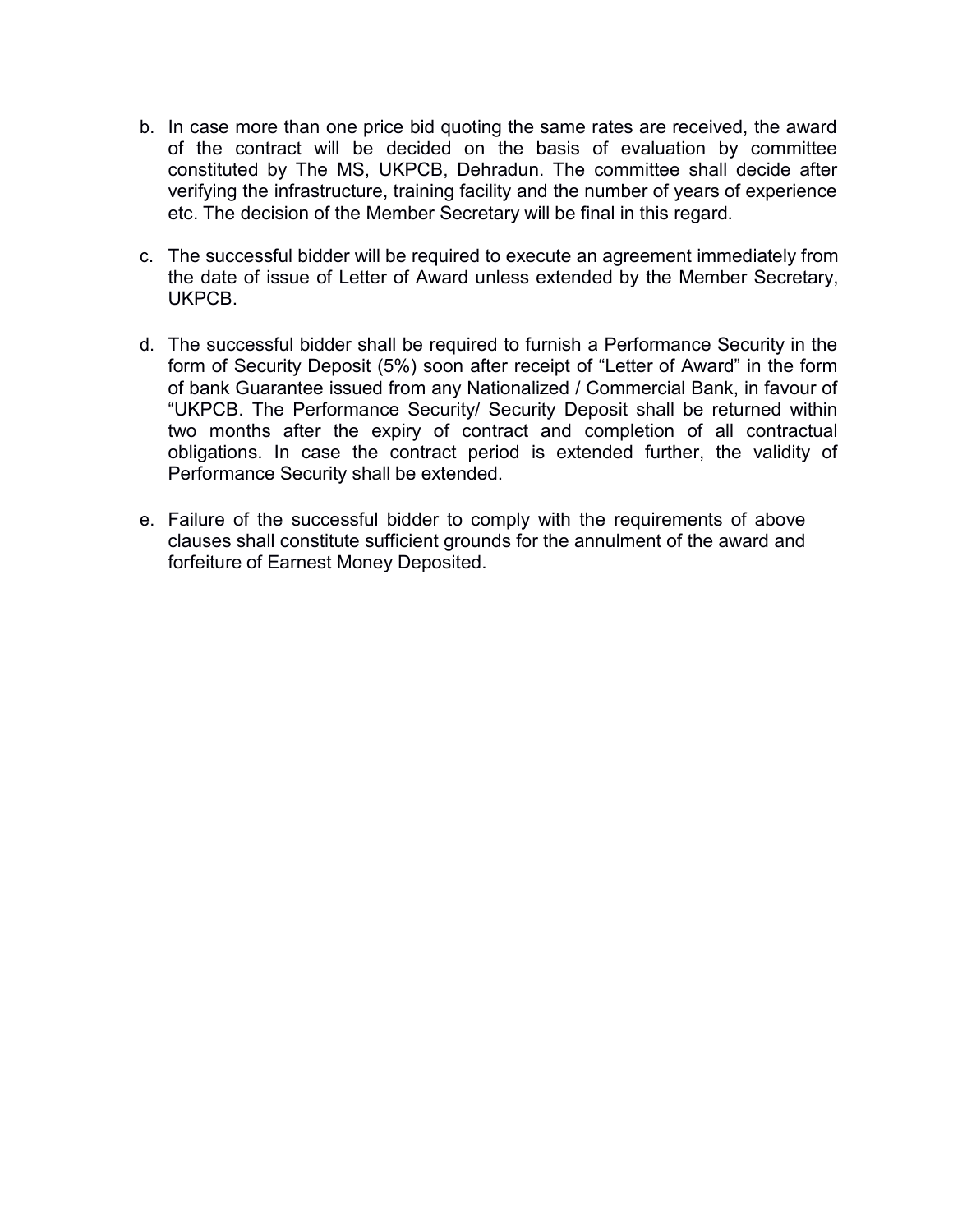- b. In case more than one price bid quoting the same rates are received, the award of the contract will be decided on the basis of evaluation by committee constituted by The MS, UKPCB, Dehradun. The committee shall decide after verifying the infrastructure, training facility and the number of years of experience etc. The decision of the Member Secretary will be final in this regard.
- c. The successful bidder will be required to execute an agreement immediately from the date of issue of Letter of Award unless extended by the Member Secretary, UKPCB.
- d. The successful bidder shall be required to furnish a Performance Security in the form of Security Deposit (5%) soon after receipt of "Letter of Award" in the form of bank Guarantee issued from any Nationalized / Commercial Bank, in favour of "UKPCB. The Performance Security/ Security Deposit shall be returned within two months after the expiry of contract and completion of all contractual obligations. In case the contract period is extended further, the validity of Performance Security shall be extended.
- e. Failure of the successful bidder to comply with the requirements of above clauses shall constitute sufficient grounds for the annulment of the award and forfeiture of Earnest Money Deposited.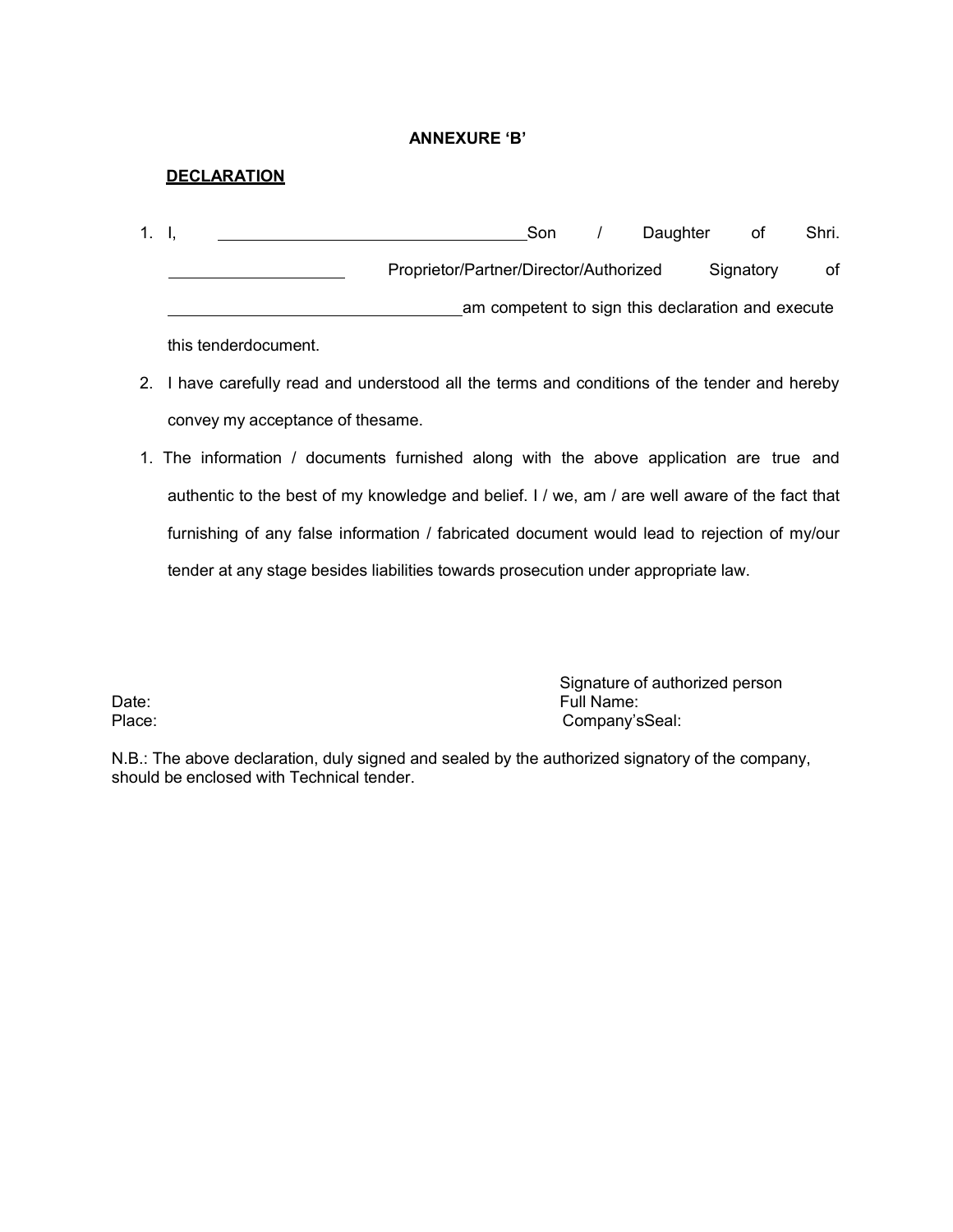#### ANNEXURE 'B'

#### **DECLARATION**

| 1. I,               |                                        | Son | Daughter | ot.                                               | Shri. |
|---------------------|----------------------------------------|-----|----------|---------------------------------------------------|-------|
|                     | Proprietor/Partner/Director/Authorized |     |          | Signatory                                         | of    |
|                     |                                        |     |          | am competent to sign this declaration and execute |       |
| thin tondordooumont |                                        |     |          |                                                   |       |

this tenderdocument.

- 2. I have carefully read and understood all the terms and conditions of the tender and hereby convey my acceptance of thesame.
- 1. The information / documents furnished along with the above application are true and authentic to the best of my knowledge and belief. I / we, am / are well aware of the fact that furnishing of any false information / fabricated document would lead to rejection of my/our tender at any stage besides liabilities towards prosecution under appropriate law.

Signature of authorized person Date: The Company's Company's Company's Company's Company's Company's Company's Company's Company's Company's Company's Company's Company's Company's Company's Company's Company's Company's Company's Company's Company's Co Company'sSeal:

N.B.: The above declaration, duly signed and sealed by the authorized signatory of the company, should be enclosed with Technical tender.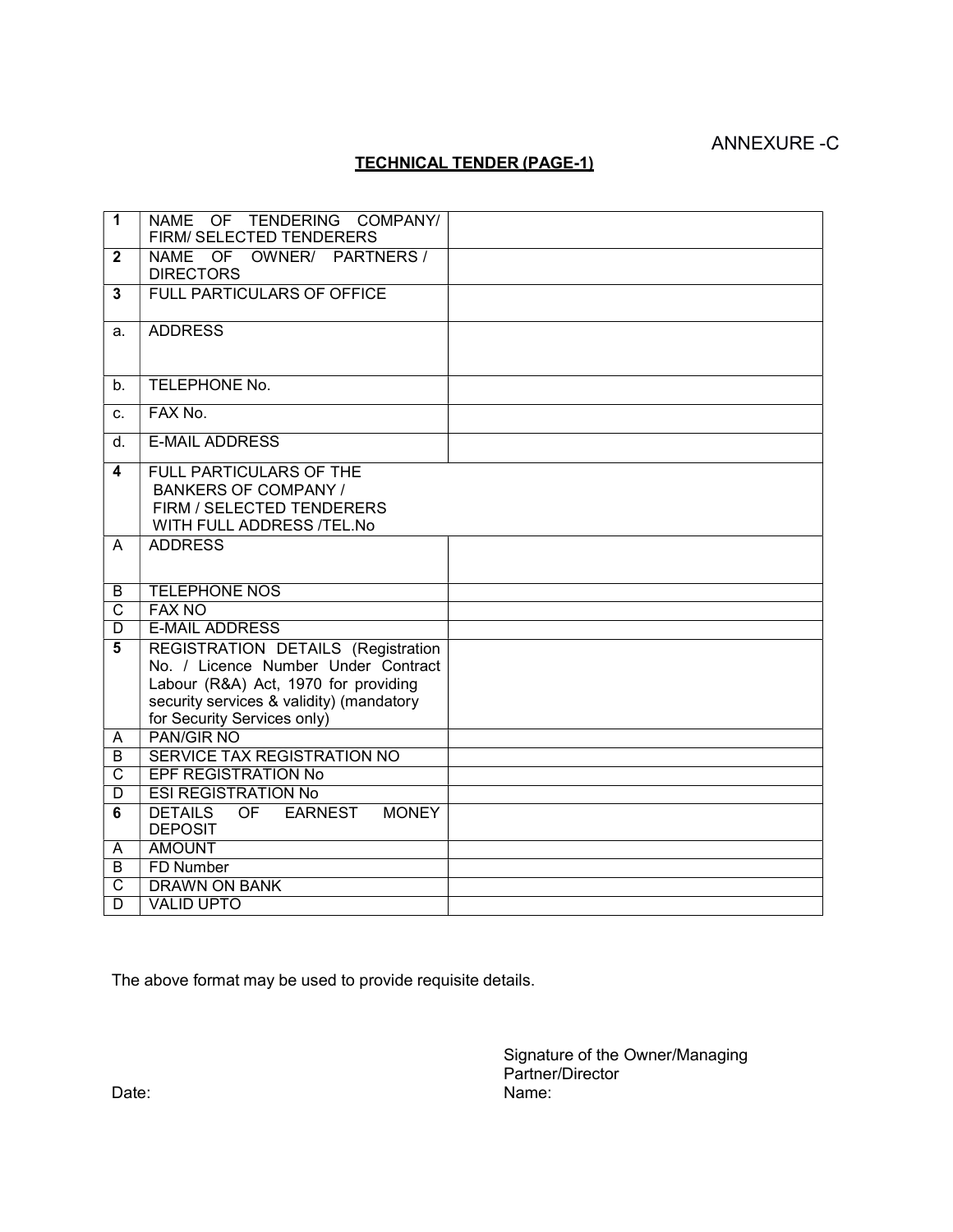# ANNEXURE -C

#### TECHNICAL TENDER (PAGE-1)

| $\overline{1}$          | NAME OF TENDERING COMPANY/<br>FIRM/ SELECTED TENDERERS                                                                         |  |
|-------------------------|--------------------------------------------------------------------------------------------------------------------------------|--|
| $\overline{2}$          | NAME OF OWNER/ PARTNERS/<br><b>DIRECTORS</b>                                                                                   |  |
| $\mathbf{3}$            | <b>FULL PARTICULARS OF OFFICE</b>                                                                                              |  |
| a.                      | <b>ADDRESS</b>                                                                                                                 |  |
| b <sub>1</sub>          | TELEPHONE No.                                                                                                                  |  |
| C <sub>1</sub>          | FAX No.                                                                                                                        |  |
| d.                      | <b>E-MAIL ADDRESS</b>                                                                                                          |  |
| $\overline{\mathbf{4}}$ | <b>FULL PARTICULARS OF THE</b><br><b>BANKERS OF COMPANY /</b><br>FIRM / SELECTED TENDERERS<br><b>WITH FULL ADDRESS /TEL.No</b> |  |
| A                       | <b>ADDRESS</b>                                                                                                                 |  |
| B                       | <b>TELEPHONE NOS</b>                                                                                                           |  |
| $\overline{\text{c}}$   | <b>FAX NO</b>                                                                                                                  |  |
| $\overline{\mathsf{D}}$ | <b>E-MAIL ADDRESS</b>                                                                                                          |  |
| 5                       | REGISTRATION DETAILS (Registration                                                                                             |  |
|                         | No. / Licence Number Under Contract<br>Labour (R&A) Act, 1970 for providing                                                    |  |
|                         | security services & validity) (mandatory                                                                                       |  |
|                         | for Security Services only)                                                                                                    |  |
| A                       | <b>PAN/GIR NO</b>                                                                                                              |  |
| B                       | SERVICE TAX REGISTRATION NO                                                                                                    |  |
| C                       | <b>EPF REGISTRATION No</b>                                                                                                     |  |
| $\overline{D}$          | <b>ESI REGISTRATION No</b>                                                                                                     |  |
| 6                       | <b>DETAILS</b><br>OF<br><b>EARNEST</b><br><b>MONEY</b><br><b>DEPOSIT</b>                                                       |  |
| A                       | <b>AMOUNT</b>                                                                                                                  |  |
| B                       | <b>FD Number</b>                                                                                                               |  |
| $\overline{\text{c}}$   | <b>DRAWN ON BANK</b>                                                                                                           |  |
| $\overline{\mathsf{D}}$ | <b>VALID UPTO</b>                                                                                                              |  |

The above format may be used to provide requisite details.

Signature of the Owner/Managing Partner/Director Date: Name: Name: Name: Name: Name: Name: Name: Name: Name: Name: Name: Name: Name: Name: Name: Name: Name: Name: Name: Name: Name: Name: Name: Name: Name: Name: Name: Name: Name: Name: Name: Name: Name: Name: Name: Name: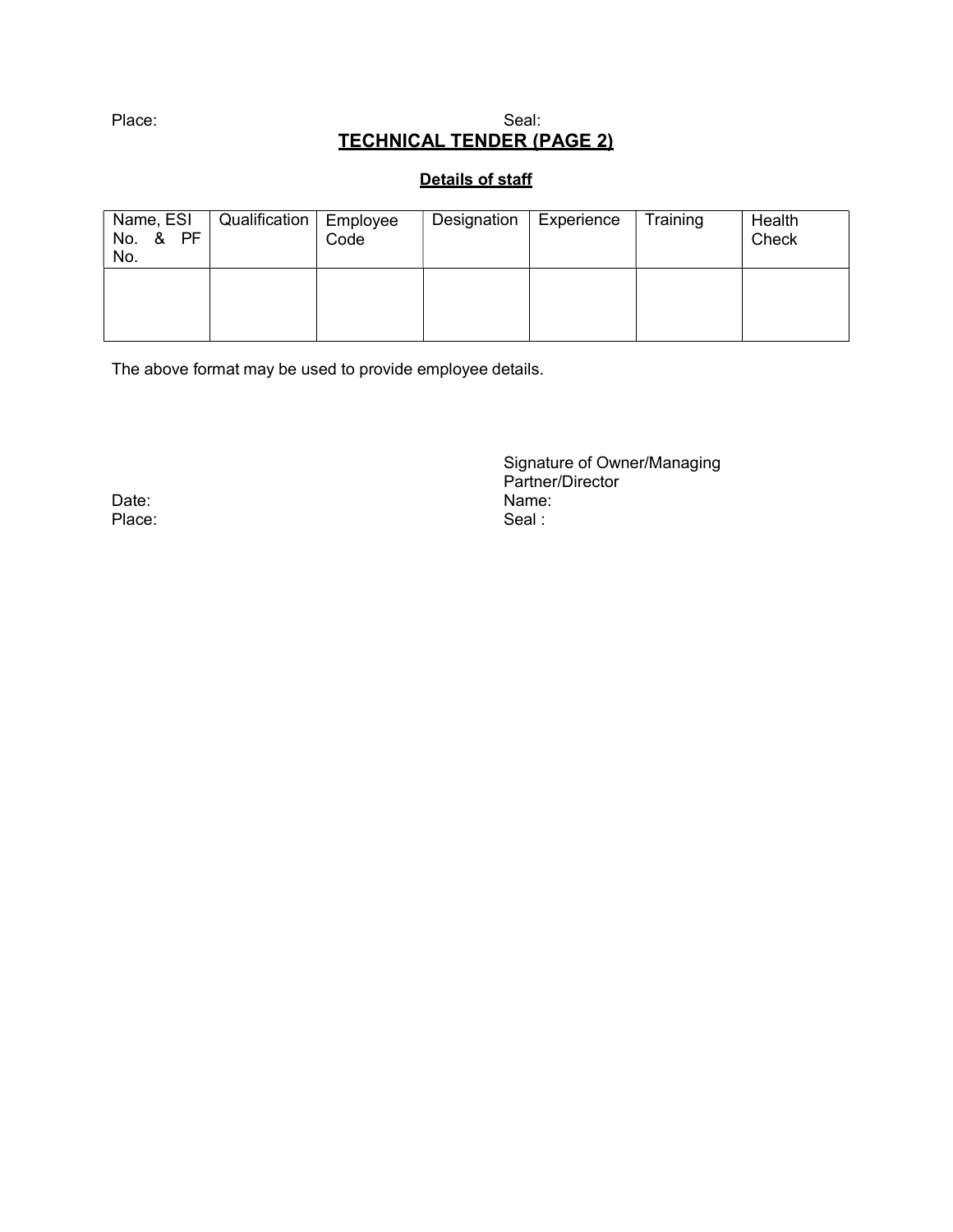#### Place: Seal: Seal: Seal: Seal: Seal: Seal: Seal: Seal: Seal: Seal: Seal: Seal: Seal: Seal: Seal: Seal: Seal: Seal: Seal: Seal: Seal: Seal: Seal: Seal: Seal: Seal: Seal: Seal: Seal: Seal: Seal: Seal: Seal: Seal: Seal: Seal: TECHNICAL TENDER (PAGE 2)

#### Details of staff

| Name, ESI<br>No. & PF<br>No. | Qualification   Employee | Code | Designation | Experience | Training | Health<br>Check |
|------------------------------|--------------------------|------|-------------|------------|----------|-----------------|
|                              |                          |      |             |            |          |                 |

The above format may be used to provide employee details.

Signature of Owner/Managing Partner/Director Date: Name: Name: Name: Name: Name: Name: Name: Name: Name: Name: Name: Name: Name: Name: Name: Name: Name: Name: Name: Name: Name: Name: Name: Name: Name: Name: Name: Name: Name: Name: Name: Name: Name: Name: Name: Name:

Place: Seal : Seal : Seal : Seal : Seal : Seal : Seal : Seal : Seal : Seal : Seal : Seal : Seal : Seal : Seal : Seal : Seal : Seal : Seal : Seal : Seal : Seal : Seal : Seal : Seal : Seal : Seal : Seal : Seal : Seal : Seal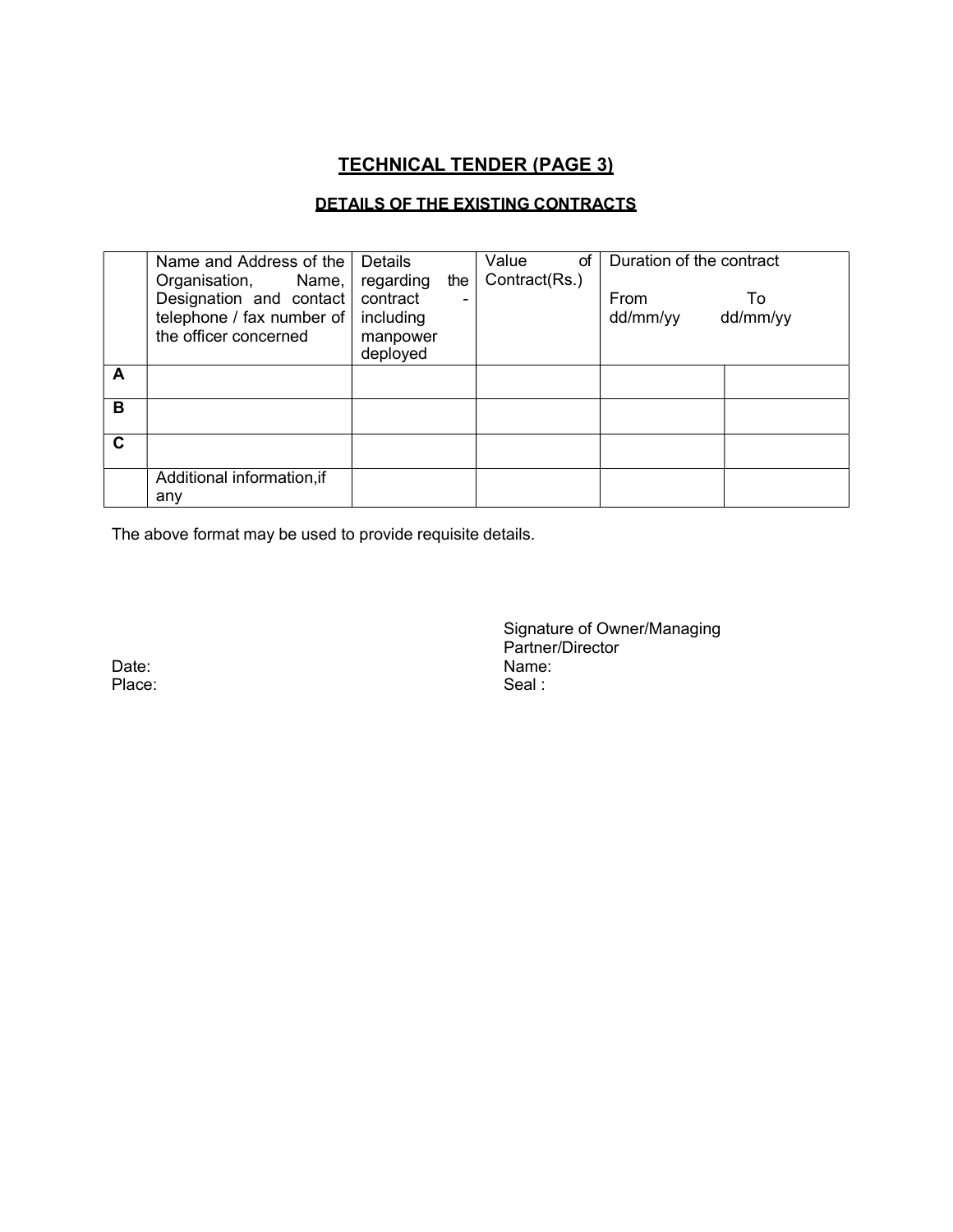# TECHNICAL TENDER (PAGE 3)

#### DETAILS OF THE EXISTING CONTRACTS

|   | Name and Address of the<br>Organisation, Name,                                    | Details<br>regarding                          | the | Value<br>οf<br>Contract(Rs.) | Duration of the contract |                |
|---|-----------------------------------------------------------------------------------|-----------------------------------------------|-----|------------------------------|--------------------------|----------------|
|   | Designation and contact<br>telephone / fax number of $ $<br>the officer concerned | contract<br>including<br>manpower<br>deployed | -   |                              | From<br>dd/mm/yy         | To<br>dd/mm/yy |
| A |                                                                                   |                                               |     |                              |                          |                |
| в |                                                                                   |                                               |     |                              |                          |                |
| C |                                                                                   |                                               |     |                              |                          |                |
|   | Additional information, if<br>any                                                 |                                               |     |                              |                          |                |

The above format may be used to provide requisite details.

Place:

Signature of Owner/Managing Partner/Director Date: Name: Name: Name: Name: Name: Name: Name: Name: Name: Name: Name: Name: Name: Name: Name: Name: Name: Name: Name: Name: Name: Name: Name: Name: Name: Name: Name: Name: Name: Name: Name: Name: Name: Name: Name: Name: